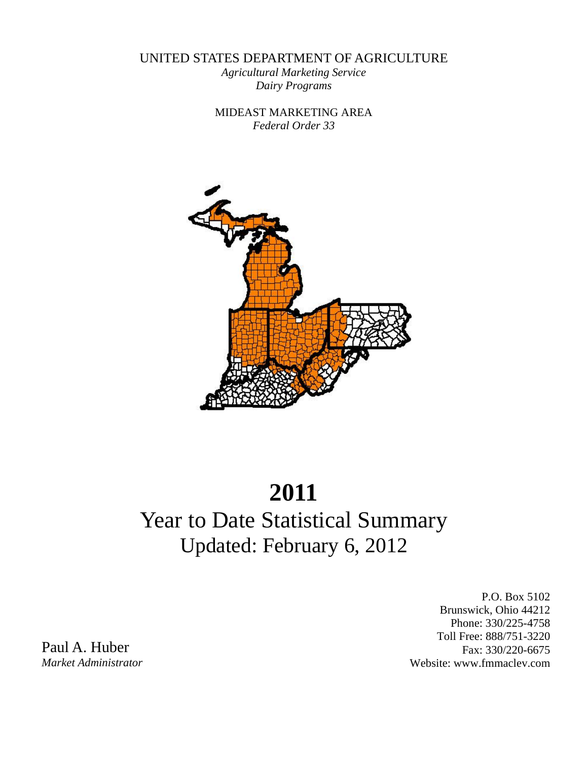UNITED STATES DEPARTMENT OF AGRICULTURE

*Agricultural Marketing Service Dairy Programs* 

MIDEAST MARKETING AREA *Federal Order 33* 



# **2011**

## Year to Date Statistical Summary Updated: February 6, 2012

P.O. Box 5102 Brunswick, Ohio 44212 Phone: 330/225-4758 Toll Free: 888/751-3220 Fax: 330/220-6675 Website: www.fmmaclev.com

Paul A. Huber *Market Administrator*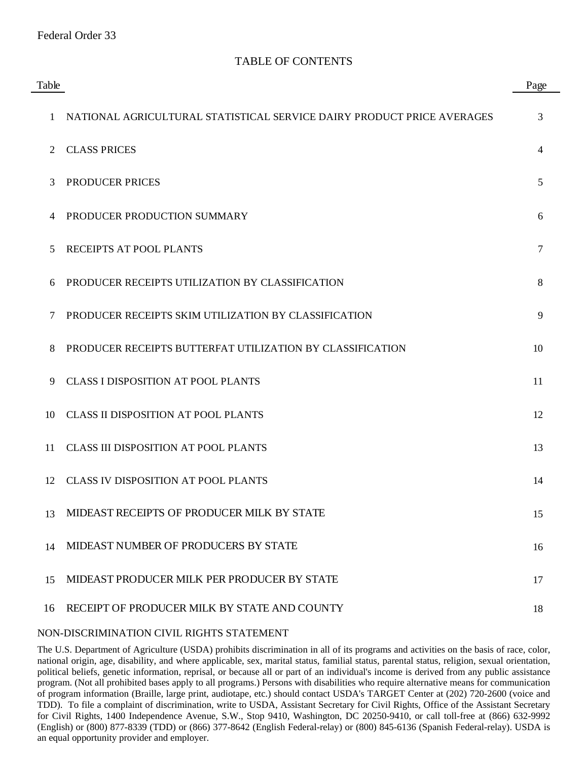| Table        |                                                                        | Page |
|--------------|------------------------------------------------------------------------|------|
| $\mathbf{1}$ | NATIONAL AGRICULTURAL STATISTICAL SERVICE DAIRY PRODUCT PRICE AVERAGES | 3    |
| 2            | <b>CLASS PRICES</b>                                                    | 4    |
| 3            | PRODUCER PRICES                                                        | 5    |
| 4            | PRODUCER PRODUCTION SUMMARY                                            | 6    |
| 5            | RECEIPTS AT POOL PLANTS                                                | 7    |
| 6            | PRODUCER RECEIPTS UTILIZATION BY CLASSIFICATION                        | 8    |
| 7            | PRODUCER RECEIPTS SKIM UTILIZATION BY CLASSIFICATION                   | 9    |
| 8            | PRODUCER RECEIPTS BUTTERFAT UTILIZATION BY CLASSIFICATION              | 10   |
| 9            | <b>CLASS I DISPOSITION AT POOL PLANTS</b>                              | 11   |
| 10           | <b>CLASS II DISPOSITION AT POOL PLANTS</b>                             | 12   |
| 11           | <b>CLASS III DISPOSITION AT POOL PLANTS</b>                            | 13   |
| 12           | <b>CLASS IV DISPOSITION AT POOL PLANTS</b>                             | 14   |
| 13           | MIDEAST RECEIPTS OF PRODUCER MILK BY STATE                             | 15   |
| 14           | MIDEAST NUMBER OF PRODUCERS BY STATE                                   | 16   |
| 15           | MIDEAST PRODUCER MILK PER PRODUCER BY STATE                            | 17   |
| 16           | RECEIPT OF PRODUCER MILK BY STATE AND COUNTY                           | 18   |

#### NON-DISCRIMINATION CIVIL RIGHTS STATEMENT

The U.S. Department of Agriculture (USDA) prohibits discrimination in all of its programs and activities on the basis of race, color, national origin, age, disability, and where applicable, sex, marital status, familial status, parental status, religion, sexual orientation, political beliefs, genetic information, reprisal, or because all or part of an individual's income is derived from any public assistance program. (Not all prohibited bases apply to all programs.) Persons with disabilities who require alternative means for communication of program information (Braille, large print, audiotape, etc.) should contact USDA's TARGET Center at (202) 720-2600 (voice and TDD). To file a complaint of discrimination, write to USDA, Assistant Secretary for Civil Rights, Office of the Assistant Secretary for Civil Rights, 1400 Independence Avenue, S.W., Stop 9410, Washington, DC 20250-9410, or call toll-free at (866) 632-9992 (English) or (800) 877-8339 (TDD) or (866) 377-8642 (English Federal-relay) or (800) 845-6136 (Spanish Federal-relay). USDA is an equal opportunity provider and employer.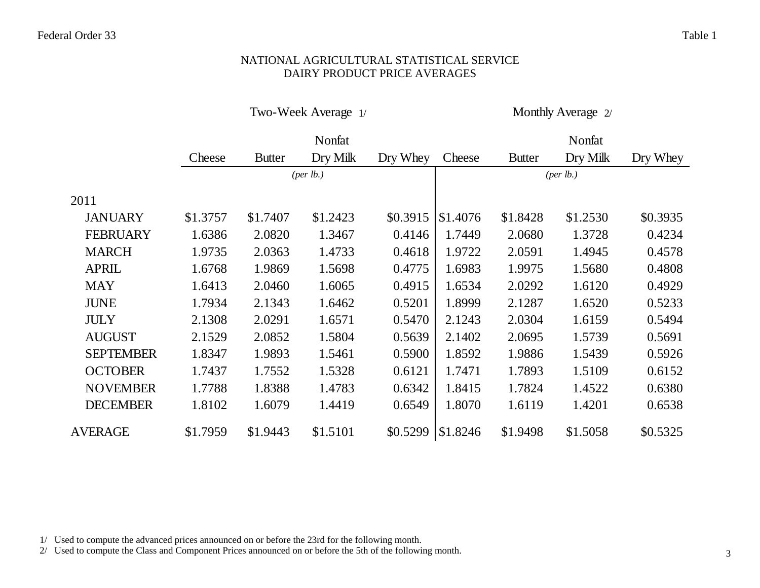#### NATIONAL AGRICULTURAL STATISTICAL SERVICE DAIRY PRODUCT PRICE AVERAGES

Two-Week Average 1/ Monthly Average 2/

|                  |          |               | Nonfat               |          |          |               | Nonfat    |          |
|------------------|----------|---------------|----------------------|----------|----------|---------------|-----------|----------|
|                  | Cheese   | <b>Butter</b> | Dry Milk             | Dry Whey | Cheese   | <b>Butter</b> | Dry Milk  | Dry Whey |
|                  |          |               | ${\rm (per \, lb.)}$ |          |          |               | (per lb.) |          |
| 2011             |          |               |                      |          |          |               |           |          |
| <b>JANUARY</b>   | \$1.3757 | \$1.7407      | \$1.2423             | \$0.3915 | \$1.4076 | \$1.8428      | \$1.2530  | \$0.3935 |
| <b>FEBRUARY</b>  | 1.6386   | 2.0820        | 1.3467               | 0.4146   | 1.7449   | 2.0680        | 1.3728    | 0.4234   |
| <b>MARCH</b>     | 1.9735   | 2.0363        | 1.4733               | 0.4618   | 1.9722   | 2.0591        | 1.4945    | 0.4578   |
| <b>APRIL</b>     | 1.6768   | 1.9869        | 1.5698               | 0.4775   | 1.6983   | 1.9975        | 1.5680    | 0.4808   |
| <b>MAY</b>       | 1.6413   | 2.0460        | 1.6065               | 0.4915   | 1.6534   | 2.0292        | 1.6120    | 0.4929   |
| <b>JUNE</b>      | 1.7934   | 2.1343        | 1.6462               | 0.5201   | 1.8999   | 2.1287        | 1.6520    | 0.5233   |
| <b>JULY</b>      | 2.1308   | 2.0291        | 1.6571               | 0.5470   | 2.1243   | 2.0304        | 1.6159    | 0.5494   |
| <b>AUGUST</b>    | 2.1529   | 2.0852        | 1.5804               | 0.5639   | 2.1402   | 2.0695        | 1.5739    | 0.5691   |
| <b>SEPTEMBER</b> | 1.8347   | 1.9893        | 1.5461               | 0.5900   | 1.8592   | 1.9886        | 1.5439    | 0.5926   |
| <b>OCTOBER</b>   | 1.7437   | 1.7552        | 1.5328               | 0.6121   | 1.7471   | 1.7893        | 1.5109    | 0.6152   |
| <b>NOVEMBER</b>  | 1.7788   | 1.8388        | 1.4783               | 0.6342   | 1.8415   | 1.7824        | 1.4522    | 0.6380   |
| <b>DECEMBER</b>  | 1.8102   | 1.6079        | 1.4419               | 0.6549   | 1.8070   | 1.6119        | 1.4201    | 0.6538   |
| <b>AVERAGE</b>   | \$1.7959 | \$1.9443      | \$1.5101             | \$0.5299 | \$1.8246 | \$1.9498      | \$1.5058  | \$0.5325 |

1/ Used to compute the advanced prices announced on or before the 23rd for the following month.

2/ Used to compute the Class and Component Prices announced on or before the 5th of the following month.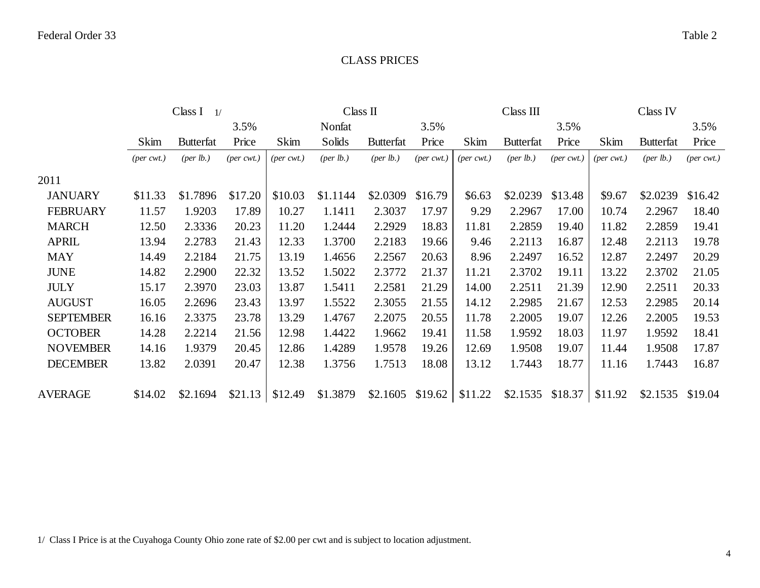#### CLASS PRICES

|                  |                               | Class I<br>1/    |            |                             | Class II             |                             |                  |                              | Class III         |               |                  | Class IV         |                             |
|------------------|-------------------------------|------------------|------------|-----------------------------|----------------------|-----------------------------|------------------|------------------------------|-------------------|---------------|------------------|------------------|-----------------------------|
|                  |                               |                  | 3.5%       |                             | Nonfat               |                             | 3.5%             |                              |                   | 3.5%          |                  |                  | 3.5%                        |
|                  | Skim                          | <b>Butterfat</b> | Price      | Skim                        | Solids               | <b>Butterfat</b>            | Price            | Skim                         | <b>Butterfat</b>  | Price         | <b>Skim</b>      | <b>Butterfat</b> | Price                       |
|                  | $(\text{per} \ \text{cvrt.})$ | (per lb.)        | $(per\,\,$ | $(\text{per} \text{ cwt.})$ | ${\rm (per \, lb.)}$ | (per lb.)                   | ${\rm (per\,\,}$ | $(\text{per} \ \text{cvt.})$ | (per lb.)         | $(per\ cvt.)$ | ${\rm (per\,\,}$ | (per lb.)        | $(\text{per} \text{ cwt.})$ |
| 2011             |                               |                  |            |                             |                      |                             |                  |                              |                   |               |                  |                  |                             |
| <b>JANUARY</b>   | \$11.33                       | \$1.7896         | \$17.20    | \$10.03                     | \$1.1144             | \$2.0309                    | \$16.79          | \$6.63                       | \$2.0239          | \$13.48       | \$9.67           | \$2.0239         | \$16.42                     |
| <b>FEBRUARY</b>  | 11.57                         | 1.9203           | 17.89      | 10.27                       | 1.1411               | 2.3037                      | 17.97            | 9.29                         | 2.2967            | 17.00         | 10.74            | 2.2967           | 18.40                       |
| <b>MARCH</b>     | 12.50                         | 2.3336           | 20.23      | 11.20                       | 1.2444               | 2.2929                      | 18.83            | 11.81                        | 2.2859            | 19.40         | 11.82            | 2.2859           | 19.41                       |
| <b>APRIL</b>     | 13.94                         | 2.2783           | 21.43      | 12.33                       | 1.3700               | 2.2183                      | 19.66            | 9.46                         | 2.2113            | 16.87         | 12.48            | 2.2113           | 19.78                       |
| <b>MAY</b>       | 14.49                         | 2.2184           | 21.75      | 13.19                       | 1.4656               | 2.2567                      | 20.63            | 8.96                         | 2.2497            | 16.52         | 12.87            | 2.2497           | 20.29                       |
| <b>JUNE</b>      | 14.82                         | 2.2900           | 22.32      | 13.52                       | 1.5022               | 2.3772                      | 21.37            | 11.21                        | 2.3702            | 19.11         | 13.22            | 2.3702           | 21.05                       |
| <b>JULY</b>      | 15.17                         | 2.3970           | 23.03      | 13.87                       | 1.5411               | 2.2581                      | 21.29            | 14.00                        | 2.2511            | 21.39         | 12.90            | 2.2511           | 20.33                       |
| <b>AUGUST</b>    | 16.05                         | 2.2696           | 23.43      | 13.97                       | 1.5522               | 2.3055                      | 21.55            | 14.12                        | 2.2985            | 21.67         | 12.53            | 2.2985           | 20.14                       |
| <b>SEPTEMBER</b> | 16.16                         | 2.3375           | 23.78      | 13.29                       | 1.4767               | 2.2075                      | 20.55            | 11.78                        | 2.2005            | 19.07         | 12.26            | 2.2005           | 19.53                       |
| <b>OCTOBER</b>   | 14.28                         | 2.2214           | 21.56      | 12.98                       | 1.4422               | 1.9662                      | 19.41            | 11.58                        | 1.9592            | 18.03         | 11.97            | 1.9592           | 18.41                       |
| <b>NOVEMBER</b>  | 14.16                         | 1.9379           | 20.45      | 12.86                       | 1.4289               | 1.9578                      | 19.26            | 12.69                        | 1.9508            | 19.07         | 11.44            | 1.9508           | 17.87                       |
| <b>DECEMBER</b>  | 13.82                         | 2.0391           | 20.47      | 12.38                       | 1.3756               | 1.7513                      | 18.08            | 13.12                        | 1.7443            | 18.77         | 11.16            | 1.7443           | 16.87                       |
| <b>AVERAGE</b>   | \$14.02                       | \$2.1694         | \$21.13    | \$12.49                     | \$1.3879             | $$2.1605$ \$19.62 \ \$11.22 |                  |                              | $$2.1535$ \$18.37 |               | \$11.92          | \$2.1535         | \$19.04                     |

1/ Class I Price is at the Cuyahoga County Ohio zone rate of \$2.00 per cwt and is subject to location adjustment.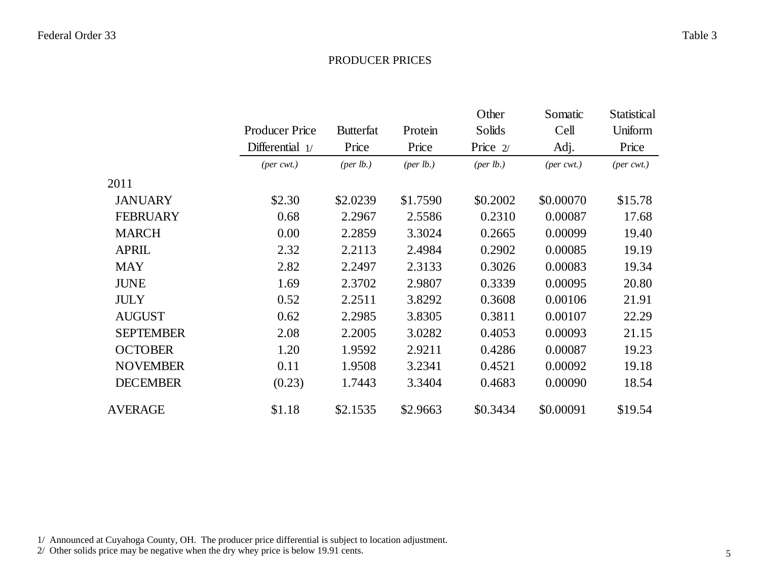#### PRODUCER PRICES

|                  |                             |                    |                      | Other                | Somatic                     | Statistical                 |
|------------------|-----------------------------|--------------------|----------------------|----------------------|-----------------------------|-----------------------------|
|                  | <b>Producer Price</b>       | <b>Butterfat</b>   | Protein              | Solids               | Cell                        | Uniform                     |
|                  | Differential 1/             | Price              | Price                | Price $2/$           | Adj.                        | Price                       |
|                  | $(\text{per} \text{ cwt.})$ | $(\text{per lb.})$ | ${\rm (per \, lb.)}$ | ${\rm (per \, lb.)}$ | $(\text{per} \text{ cwt.})$ | $(\text{per} \text{ cwt.})$ |
| 2011             |                             |                    |                      |                      |                             |                             |
| <b>JANUARY</b>   | \$2.30                      | \$2.0239           | \$1.7590             | \$0.2002             | \$0.00070                   | \$15.78                     |
| <b>FEBRUARY</b>  | 0.68                        | 2.2967             | 2.5586               | 0.2310               | 0.00087                     | 17.68                       |
| <b>MARCH</b>     | 0.00                        | 2.2859             | 3.3024               | 0.2665               | 0.00099                     | 19.40                       |
| <b>APRIL</b>     | 2.32                        | 2.2113             | 2.4984               | 0.2902               | 0.00085                     | 19.19                       |
| <b>MAY</b>       | 2.82                        | 2.2497             | 2.3133               | 0.3026               | 0.00083                     | 19.34                       |
| <b>JUNE</b>      | 1.69                        | 2.3702             | 2.9807               | 0.3339               | 0.00095                     | 20.80                       |
| <b>JULY</b>      | 0.52                        | 2.2511             | 3.8292               | 0.3608               | 0.00106                     | 21.91                       |
| <b>AUGUST</b>    | 0.62                        | 2.2985             | 3.8305               | 0.3811               | 0.00107                     | 22.29                       |
| <b>SEPTEMBER</b> | 2.08                        | 2.2005             | 3.0282               | 0.4053               | 0.00093                     | 21.15                       |
| <b>OCTOBER</b>   | 1.20                        | 1.9592             | 2.9211               | 0.4286               | 0.00087                     | 19.23                       |
| <b>NOVEMBER</b>  | 0.11                        | 1.9508             | 3.2341               | 0.4521               | 0.00092                     | 19.18                       |
| <b>DECEMBER</b>  | (0.23)                      | 1.7443             | 3.3404               | 0.4683               | 0.00090                     | 18.54                       |
| <b>AVERAGE</b>   | \$1.18                      | \$2.1535           | \$2.9663             | \$0.3434             | \$0.00091                   | \$19.54                     |

1/ Announced at Cuyahoga County, OH. The producer price differential is subject to location adjustment.

2/ Other solids price may be negative when the dry whey price is below 19.91 cents.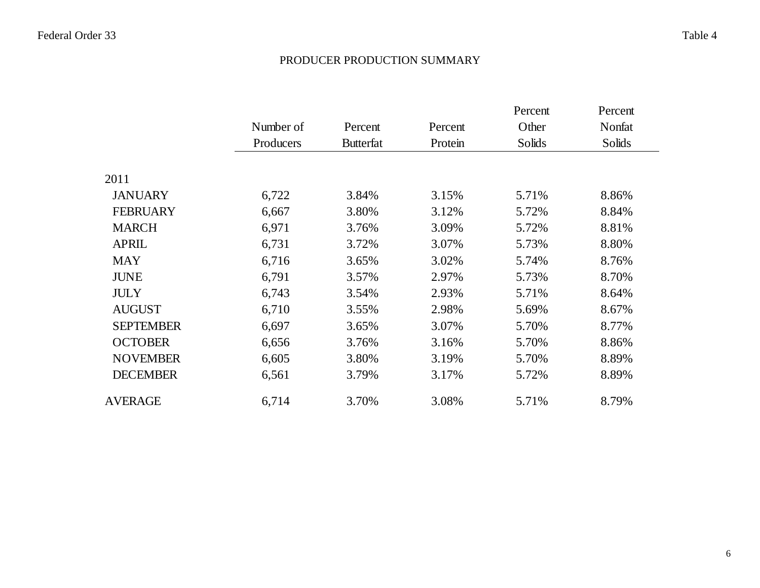#### PRODUCER PRODUCTION SUMMARY

|                  |           |                  |         | Percent | Percent |
|------------------|-----------|------------------|---------|---------|---------|
|                  | Number of | Percent          | Percent | Other   | Nonfat  |
|                  | Producers | <b>Butterfat</b> | Protein | Solids  | Solids  |
|                  |           |                  |         |         |         |
| 2011             |           |                  |         |         |         |
| <b>JANUARY</b>   | 6,722     | 3.84%            | 3.15%   | 5.71%   | 8.86%   |
| <b>FEBRUARY</b>  | 6,667     | 3.80%            | 3.12%   | 5.72%   | 8.84%   |
| <b>MARCH</b>     | 6,971     | 3.76%            | 3.09%   | 5.72%   | 8.81%   |
| <b>APRIL</b>     | 6,731     | 3.72%            | 3.07%   | 5.73%   | 8.80%   |
| <b>MAY</b>       | 6,716     | 3.65%            | 3.02%   | 5.74%   | 8.76%   |
| <b>JUNE</b>      | 6,791     | 3.57%            | 2.97%   | 5.73%   | 8.70%   |
| <b>JULY</b>      | 6,743     | 3.54%            | 2.93%   | 5.71%   | 8.64%   |
| <b>AUGUST</b>    | 6,710     | 3.55%            | 2.98%   | 5.69%   | 8.67%   |
| <b>SEPTEMBER</b> | 6,697     | 3.65%            | 3.07%   | 5.70%   | 8.77%   |
| <b>OCTOBER</b>   | 6,656     | 3.76%            | 3.16%   | 5.70%   | 8.86%   |
| <b>NOVEMBER</b>  | 6,605     | 3.80%            | 3.19%   | 5.70%   | 8.89%   |
| <b>DECEMBER</b>  | 6,561     | 3.79%            | 3.17%   | 5.72%   | 8.89%   |
| <b>AVERAGE</b>   | 6,714     | 3.70%            | 3.08%   | 5.71%   | 8.79%   |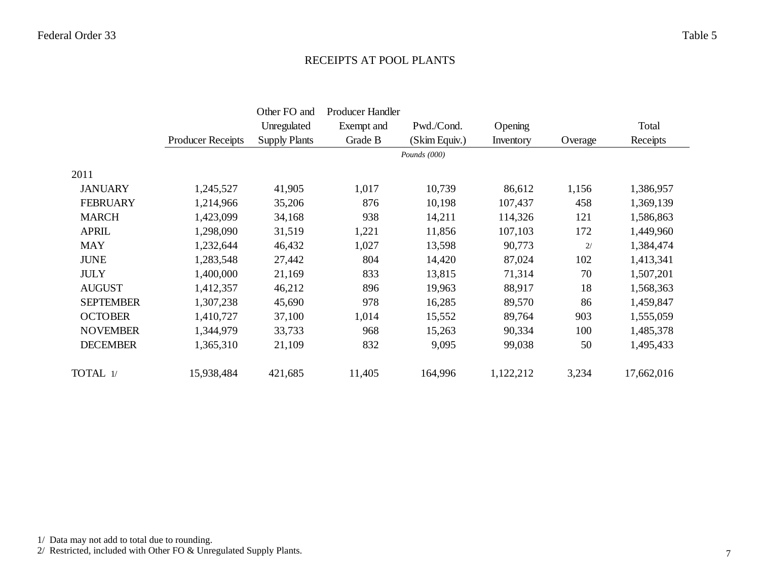#### RECEIPTS AT POOL PLANTS

|                  |                          | Other FO and         | Producer Handler |               |           |         |            |
|------------------|--------------------------|----------------------|------------------|---------------|-----------|---------|------------|
|                  |                          | Unregulated          | Exempt and       | Pwd./Cond.    | Opening   |         | Total      |
|                  | <b>Producer Receipts</b> | <b>Supply Plants</b> | Grade B          | (Skim Equiv.) | Inventory | Overage | Receipts   |
|                  |                          |                      |                  | Pounds (000)  |           |         |            |
| 2011             |                          |                      |                  |               |           |         |            |
| <b>JANUARY</b>   | 1,245,527                | 41,905               | 1,017            | 10,739        | 86,612    | 1,156   | 1,386,957  |
| <b>FEBRUARY</b>  | 1,214,966                | 35,206               | 876              | 10,198        | 107,437   | 458     | 1,369,139  |
| <b>MARCH</b>     | 1,423,099                | 34,168               | 938              | 14,211        | 114,326   | 121     | 1,586,863  |
| <b>APRIL</b>     | 1,298,090                | 31,519               | 1,221            | 11,856        | 107,103   | 172     | 1,449,960  |
| <b>MAY</b>       | 1,232,644                | 46,432               | 1,027            | 13,598        | 90,773    | 2/      | 1,384,474  |
| <b>JUNE</b>      | 1,283,548                | 27,442               | 804              | 14,420        | 87,024    | 102     | 1,413,341  |
| <b>JULY</b>      | 1,400,000                | 21,169               | 833              | 13,815        | 71,314    | 70      | 1,507,201  |
| <b>AUGUST</b>    | 1,412,357                | 46,212               | 896              | 19,963        | 88,917    | 18      | 1,568,363  |
| <b>SEPTEMBER</b> | 1,307,238                | 45,690               | 978              | 16,285        | 89,570    | 86      | 1,459,847  |
| <b>OCTOBER</b>   | 1,410,727                | 37,100               | 1,014            | 15,552        | 89,764    | 903     | 1,555,059  |
| <b>NOVEMBER</b>  | 1,344,979                | 33,733               | 968              | 15,263        | 90,334    | 100     | 1,485,378  |
| <b>DECEMBER</b>  | 1,365,310                | 21,109               | 832              | 9,095         | 99,038    | 50      | 1,495,433  |
| TOTAL 1/         | 15,938,484               | 421,685              | 11,405           | 164,996       | 1,122,212 | 3,234   | 17,662,016 |

1/ Data may not add to total due to rounding.

2/ Restricted, included with Other FO & Unregulated Supply Plants.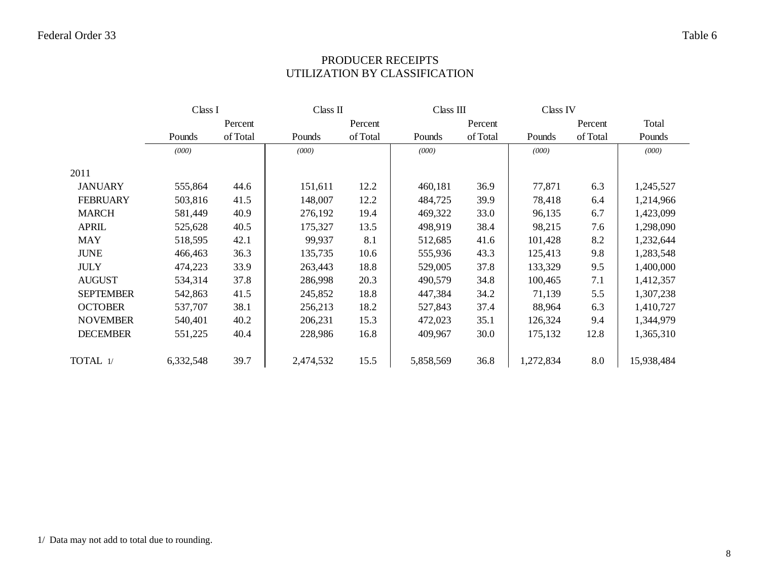## PRODUCER RECEIPTS UTILIZATION BY CLASSIFICATION

|                  | Class I   |          | Class II  |          | Class III |          | Class IV  |          |            |
|------------------|-----------|----------|-----------|----------|-----------|----------|-----------|----------|------------|
|                  |           | Percent  |           | Percent  |           | Percent  |           | Percent  | Total      |
|                  | Pounds    | of Total | Pounds    | of Total | Pounds    | of Total | Pounds    | of Total | Pounds     |
|                  | (000)     |          | (000)     |          | (000)     |          | (000)     |          | (000)      |
| 2011             |           |          |           |          |           |          |           |          |            |
| <b>JANUARY</b>   | 555,864   | 44.6     | 151,611   | 12.2     | 460,181   | 36.9     | 77,871    | 6.3      | 1,245,527  |
| <b>FEBRUARY</b>  | 503,816   | 41.5     | 148,007   | 12.2     | 484,725   | 39.9     | 78,418    | 6.4      | 1,214,966  |
| <b>MARCH</b>     | 581,449   | 40.9     | 276,192   | 19.4     | 469,322   | 33.0     | 96,135    | 6.7      | 1,423,099  |
| <b>APRIL</b>     | 525,628   | 40.5     | 175,327   | 13.5     | 498,919   | 38.4     | 98,215    | 7.6      | 1,298,090  |
| <b>MAY</b>       | 518,595   | 42.1     | 99,937    | 8.1      | 512,685   | 41.6     | 101,428   | 8.2      | 1,232,644  |
| <b>JUNE</b>      | 466,463   | 36.3     | 135,735   | 10.6     | 555,936   | 43.3     | 125,413   | 9.8      | 1,283,548  |
| <b>JULY</b>      | 474,223   | 33.9     | 263,443   | 18.8     | 529,005   | 37.8     | 133,329   | 9.5      | 1,400,000  |
| <b>AUGUST</b>    | 534,314   | 37.8     | 286,998   | 20.3     | 490,579   | 34.8     | 100,465   | 7.1      | 1,412,357  |
| <b>SEPTEMBER</b> | 542,863   | 41.5     | 245,852   | 18.8     | 447,384   | 34.2     | 71,139    | 5.5      | 1,307,238  |
| <b>OCTOBER</b>   | 537,707   | 38.1     | 256,213   | 18.2     | 527,843   | 37.4     | 88,964    | 6.3      | 1,410,727  |
| <b>NOVEMBER</b>  | 540,401   | 40.2     | 206,231   | 15.3     | 472,023   | 35.1     | 126,324   | 9.4      | 1,344,979  |
| <b>DECEMBER</b>  | 551,225   | 40.4     | 228,986   | 16.8     | 409,967   | 30.0     | 175,132   | 12.8     | 1,365,310  |
| TOTAL 1/         | 6,332,548 | 39.7     | 2,474,532 | 15.5     | 5,858,569 | 36.8     | 1,272,834 | 8.0      | 15,938,484 |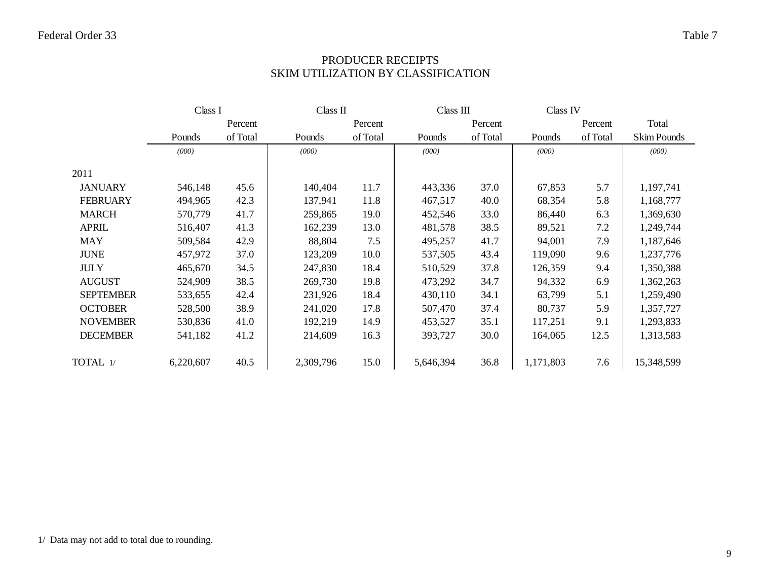## PRODUCER RECEIPTS SKIM UTILIZATION BY CLASSIFICATION

|                  | Class I   |          | Class II  |          | Class III |          | Class IV  |          |             |
|------------------|-----------|----------|-----------|----------|-----------|----------|-----------|----------|-------------|
|                  |           | Percent  |           | Percent  |           | Percent  |           | Percent  | Total       |
|                  | Pounds    | of Total | Pounds    | of Total | Pounds    | of Total | Pounds    | of Total | Skim Pounds |
|                  | (000)     |          | (000)     |          | (000)     |          | (000)     |          | (000)       |
| 2011             |           |          |           |          |           |          |           |          |             |
| <b>JANUARY</b>   | 546,148   | 45.6     | 140,404   | 11.7     | 443,336   | 37.0     | 67,853    | 5.7      | 1,197,741   |
| <b>FEBRUARY</b>  | 494,965   | 42.3     | 137,941   | 11.8     | 467,517   | 40.0     | 68,354    | 5.8      | 1,168,777   |
| <b>MARCH</b>     | 570,779   | 41.7     | 259,865   | 19.0     | 452,546   | 33.0     | 86,440    | 6.3      | 1,369,630   |
| <b>APRIL</b>     | 516,407   | 41.3     | 162,239   | 13.0     | 481,578   | 38.5     | 89,521    | 7.2      | 1,249,744   |
| <b>MAY</b>       | 509,584   | 42.9     | 88,804    | 7.5      | 495,257   | 41.7     | 94,001    | 7.9      | 1,187,646   |
| <b>JUNE</b>      | 457,972   | 37.0     | 123,209   | 10.0     | 537,505   | 43.4     | 119,090   | 9.6      | 1,237,776   |
| <b>JULY</b>      | 465,670   | 34.5     | 247,830   | 18.4     | 510,529   | 37.8     | 126,359   | 9.4      | 1,350,388   |
| <b>AUGUST</b>    | 524,909   | 38.5     | 269,730   | 19.8     | 473,292   | 34.7     | 94,332    | 6.9      | 1,362,263   |
| <b>SEPTEMBER</b> | 533,655   | 42.4     | 231,926   | 18.4     | 430,110   | 34.1     | 63,799    | 5.1      | 1,259,490   |
| <b>OCTOBER</b>   | 528,500   | 38.9     | 241,020   | 17.8     | 507,470   | 37.4     | 80,737    | 5.9      | 1,357,727   |
| <b>NOVEMBER</b>  | 530,836   | 41.0     | 192,219   | 14.9     | 453,527   | 35.1     | 117,251   | 9.1      | 1,293,833   |
| <b>DECEMBER</b>  | 541,182   | 41.2     | 214,609   | 16.3     | 393,727   | 30.0     | 164,065   | 12.5     | 1,313,583   |
| TOTAL $1/$       | 6,220,607 | 40.5     | 2,309,796 | 15.0     | 5,646,394 | 36.8     | 1,171,803 | 7.6      | 15,348,599  |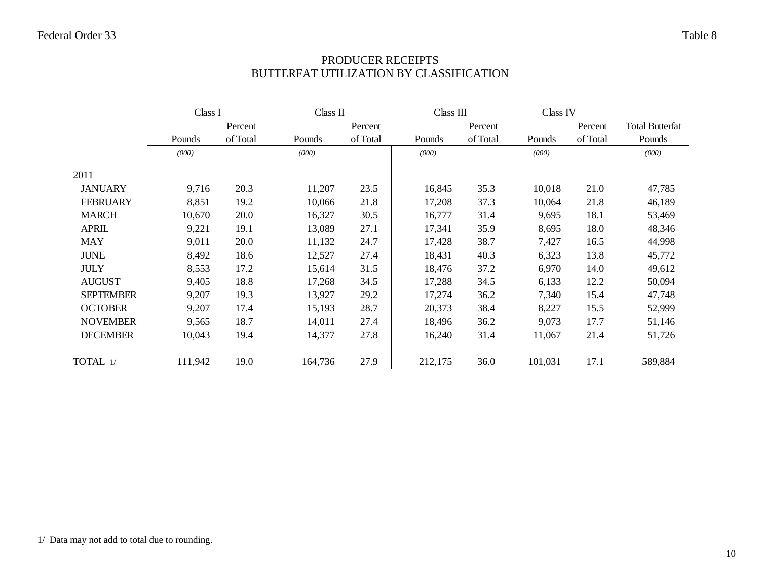## PRODUCER RECEIPTS BUTTERFAT UTILIZATION BY CLASSIFICATION

|                  | Class I |          | Class II |          | Class III |          | Class IV |          |                        |
|------------------|---------|----------|----------|----------|-----------|----------|----------|----------|------------------------|
|                  |         | Percent  |          | Percent  |           | Percent  |          | Percent  | <b>Total Butterfat</b> |
|                  | Pounds  | of Total | Pounds   | of Total | Pounds    | of Total | Pounds   | of Total | Pounds                 |
|                  | (000)   |          | (000)    |          | (000)     |          | (000)    |          | (000)                  |
| 2011             |         |          |          |          |           |          |          |          |                        |
| <b>JANUARY</b>   | 9,716   | 20.3     | 11,207   | 23.5     | 16,845    | 35.3     | 10,018   | 21.0     | 47,785                 |
| <b>FEBRUARY</b>  | 8,851   | 19.2     | 10,066   | 21.8     | 17,208    | 37.3     | 10,064   | 21.8     | 46,189                 |
| <b>MARCH</b>     | 10,670  | 20.0     | 16,327   | 30.5     | 16,777    | 31.4     | 9,695    | 18.1     | 53,469                 |
| <b>APRIL</b>     | 9,221   | 19.1     | 13,089   | 27.1     | 17,341    | 35.9     | 8,695    | 18.0     | 48,346                 |
| <b>MAY</b>       | 9,011   | 20.0     | 11,132   | 24.7     | 17,428    | 38.7     | 7,427    | 16.5     | 44,998                 |
| <b>JUNE</b>      | 8,492   | 18.6     | 12,527   | 27.4     | 18,431    | 40.3     | 6,323    | 13.8     | 45,772                 |
| <b>JULY</b>      | 8,553   | 17.2     | 15,614   | 31.5     | 18,476    | 37.2     | 6,970    | 14.0     | 49,612                 |
| <b>AUGUST</b>    | 9,405   | 18.8     | 17,268   | 34.5     | 17,288    | 34.5     | 6,133    | 12.2     | 50,094                 |
| <b>SEPTEMBER</b> | 9,207   | 19.3     | 13,927   | 29.2     | 17,274    | 36.2     | 7,340    | 15.4     | 47,748                 |
| <b>OCTOBER</b>   | 9,207   | 17.4     | 15,193   | 28.7     | 20,373    | 38.4     | 8,227    | 15.5     | 52,999                 |
| <b>NOVEMBER</b>  | 9,565   | 18.7     | 14,011   | 27.4     | 18,496    | 36.2     | 9,073    | 17.7     | 51,146                 |
| <b>DECEMBER</b>  | 10,043  | 19.4     | 14,377   | 27.8     | 16,240    | 31.4     | 11,067   | 21.4     | 51,726                 |
| TOTAL 1/         | 111,942 | 19.0     | 164,736  | 27.9     | 212,175   | 36.0     | 101,031  | 17.1     | 589,884                |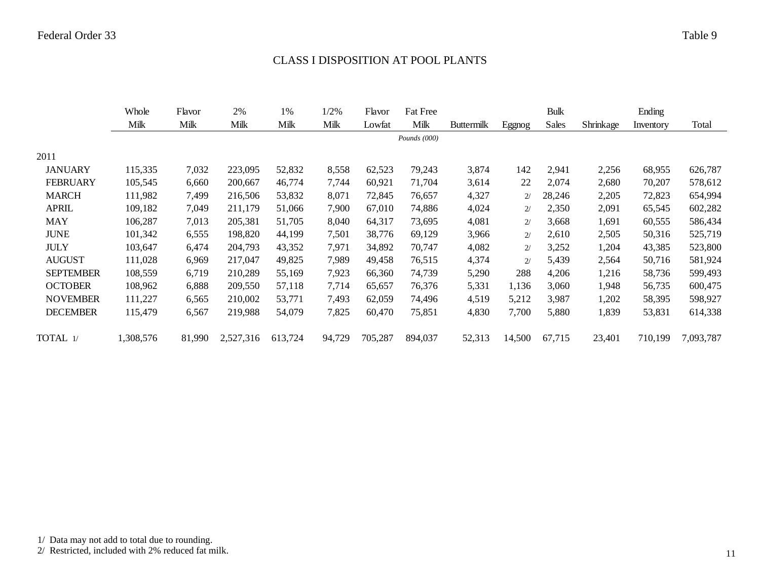#### CLASS I DISPOSITION AT POOL PLANTS

|                  | Whole     | Flavor | 2%        | 1%      | 1/2%   | Flavor  | <b>Fat Free</b> |                   |        | Bulk   |           | Ending    |           |
|------------------|-----------|--------|-----------|---------|--------|---------|-----------------|-------------------|--------|--------|-----------|-----------|-----------|
|                  | Milk      | Milk   | Milk      | Milk    | Milk   | Lowfat  | Milk            | <b>Buttermilk</b> | Eggnog | Sales  | Shrinkage | Inventory | Total     |
|                  |           |        |           |         |        |         | Pounds $(000)$  |                   |        |        |           |           |           |
| 2011             |           |        |           |         |        |         |                 |                   |        |        |           |           |           |
| <b>JANUARY</b>   | 115,335   | 7,032  | 223,095   | 52,832  | 8,558  | 62,523  | 79,243          | 3,874             | 142    | 2,941  | 2,256     | 68,955    | 626,787   |
| <b>FEBRUARY</b>  | 105,545   | 6,660  | 200,667   | 46,774  | 7,744  | 60,921  | 71,704          | 3,614             | 22     | 2,074  | 2,680     | 70,207    | 578,612   |
| <b>MARCH</b>     | 111,982   | 7,499  | 216,506   | 53,832  | 8,071  | 72,845  | 76,657          | 4,327             | 2/     | 28,246 | 2,205     | 72,823    | 654,994   |
| <b>APRIL</b>     | 109,182   | 7,049  | 211,179   | 51,066  | 7,900  | 67,010  | 74,886          | 4,024             | 2/     | 2,350  | 2,091     | 65,545    | 602,282   |
| <b>MAY</b>       | 106,287   | 7,013  | 205,381   | 51,705  | 8,040  | 64,317  | 73,695          | 4,081             | 2/     | 3,668  | 1,691     | 60,555    | 586,434   |
| <b>JUNE</b>      | 101,342   | 6,555  | 198,820   | 44,199  | 7,501  | 38,776  | 69,129          | 3,966             | 2/     | 2,610  | 2,505     | 50,316    | 525,719   |
| <b>JULY</b>      | 103,647   | 6,474  | 204,793   | 43,352  | 7,971  | 34,892  | 70,747          | 4,082             | 2/     | 3,252  | 1,204     | 43,385    | 523,800   |
| <b>AUGUST</b>    | 111,028   | 6,969  | 217,047   | 49,825  | 7,989  | 49,458  | 76,515          | 4,374             | 2/     | 5,439  | 2,564     | 50,716    | 581,924   |
| <b>SEPTEMBER</b> | 108,559   | 6,719  | 210,289   | 55,169  | 7,923  | 66,360  | 74,739          | 5,290             | 288    | 4,206  | 1,216     | 58,736    | 599,493   |
| <b>OCTOBER</b>   | 108,962   | 6,888  | 209,550   | 57,118  | 7,714  | 65,657  | 76,376          | 5,331             | 1,136  | 3,060  | 1,948     | 56,735    | 600,475   |
| <b>NOVEMBER</b>  | 111,227   | 6,565  | 210,002   | 53,771  | 7,493  | 62,059  | 74,496          | 4,519             | 5,212  | 3,987  | 1,202     | 58,395    | 598,927   |
| <b>DECEMBER</b>  | 115,479   | 6,567  | 219,988   | 54,079  | 7,825  | 60,470  | 75,851          | 4,830             | 7,700  | 5,880  | 1,839     | 53,831    | 614,338   |
| TOTAL 1/         | 1,308,576 | 81,990 | 2,527,316 | 613,724 | 94,729 | 705,287 | 894,037         | 52,313            | 14,500 | 67,715 | 23,401    | 710,199   | 7,093,787 |
|                  |           |        |           |         |        |         |                 |                   |        |        |           |           |           |

2/ Restricted, included with 2% reduced fat milk.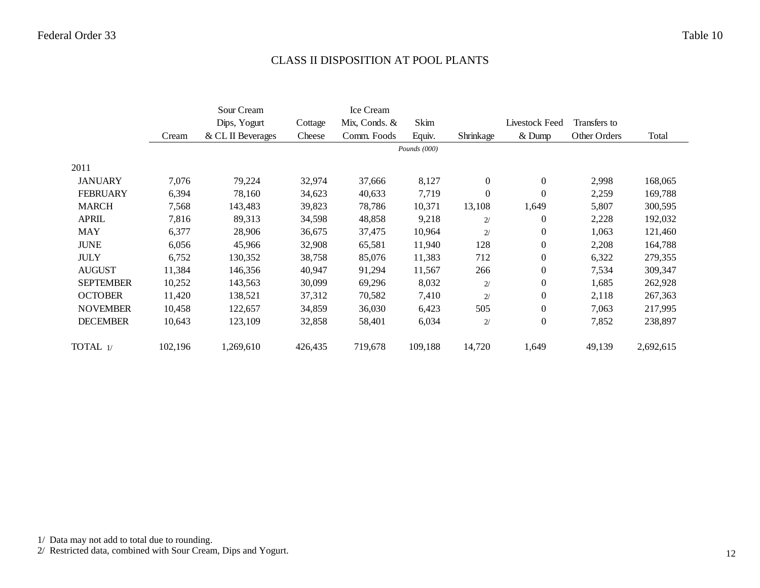#### CLASS II DISPOSITION AT POOL PLANTS

|                  |         | Sour Cream        |         | Ice Cream     |              |                  |                  |              |           |
|------------------|---------|-------------------|---------|---------------|--------------|------------------|------------------|--------------|-----------|
|                  |         | Dips, Yogurt      | Cottage | Mix, Conds. & | Skim         |                  | Livestock Feed   | Transfers to |           |
|                  | Cream   | & CL II Beverages | Cheese  | Comm. Foods   | Equiv.       | Shrinkage        | $&$ Dump         | Other Orders | Total     |
|                  |         |                   |         |               | Pounds (000) |                  |                  |              |           |
| 2011             |         |                   |         |               |              |                  |                  |              |           |
| <b>JANUARY</b>   | 7,076   | 79,224            | 32,974  | 37,666        | 8,127        | $\mathbf{0}$     | $\mathbf{0}$     | 2,998        | 168,065   |
| <b>FEBRUARY</b>  | 6,394   | 78,160            | 34,623  | 40,633        | 7,719        | $\boldsymbol{0}$ | $\Omega$         | 2,259        | 169,788   |
| <b>MARCH</b>     | 7,568   | 143,483           | 39,823  | 78,786        | 10,371       | 13,108           | 1,649            | 5,807        | 300,595   |
| <b>APRIL</b>     | 7,816   | 89,313            | 34,598  | 48,858        | 9,218        | 2/               | $\theta$         | 2,228        | 192,032   |
| <b>MAY</b>       | 6,377   | 28,906            | 36,675  | 37,475        | 10,964       | 2/               | $\boldsymbol{0}$ | 1,063        | 121,460   |
| <b>JUNE</b>      | 6,056   | 45,966            | 32,908  | 65,581        | 11,940       | 128              | $\mathbf{0}$     | 2,208        | 164,788   |
| <b>JULY</b>      | 6,752   | 130,352           | 38,758  | 85,076        | 11,383       | 712              | $\mathbf{0}$     | 6,322        | 279,355   |
| <b>AUGUST</b>    | 11,384  | 146,356           | 40,947  | 91,294        | 11,567       | 266              | $\overline{0}$   | 7,534        | 309,347   |
| <b>SEPTEMBER</b> | 10,252  | 143,563           | 30,099  | 69,296        | 8,032        | 2/               | $\mathbf{0}$     | 1,685        | 262,928   |
| <b>OCTOBER</b>   | 11,420  | 138,521           | 37,312  | 70,582        | 7,410        | 2/               | $\mathbf{0}$     | 2,118        | 267,363   |
| <b>NOVEMBER</b>  | 10,458  | 122,657           | 34,859  | 36,030        | 6,423        | 505              | $\overline{0}$   | 7,063        | 217,995   |
| <b>DECEMBER</b>  | 10,643  | 123,109           | 32,858  | 58,401        | 6,034        | 2/               | $\mathbf{0}$     | 7,852        | 238,897   |
| TOTAL 1/         | 102,196 | 1,269,610         | 426,435 | 719,678       | 109,188      | 14,720           | 1,649            | 49,139       | 2,692,615 |

1/ Data may not add to total due to rounding.

2/ Restricted data, combined with Sour Cream, Dips and Yogurt.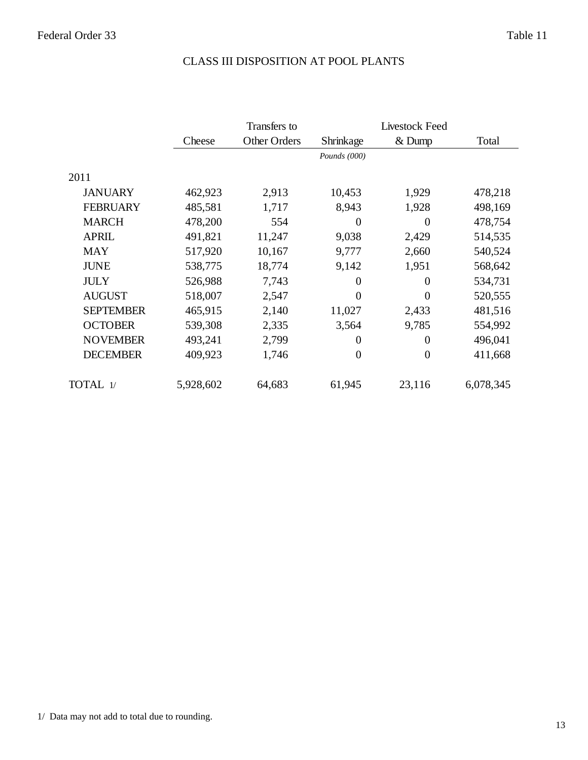## CLASS III DISPOSITION AT POOL PLANTS

|                  |           | Transfers to |                  |                  | <b>Livestock Feed</b> |  |
|------------------|-----------|--------------|------------------|------------------|-----------------------|--|
|                  | Cheese    | Other Orders | Shrinkage        | $&$ Dump         | Total                 |  |
|                  |           |              | Pounds (000)     |                  |                       |  |
| 2011             |           |              |                  |                  |                       |  |
| <b>JANUARY</b>   | 462,923   | 2,913        | 10,453           | 1,929            | 478,218               |  |
| <b>FEBRUARY</b>  | 485,581   | 1,717        | 8,943            | 1,928            | 498,169               |  |
| <b>MARCH</b>     | 478,200   | 554          | $\theta$         | $\Omega$         | 478,754               |  |
| <b>APRIL</b>     | 491,821   | 11,247       | 9,038            | 2,429            | 514,535               |  |
| <b>MAY</b>       | 517,920   | 10,167       | 9,777            | 2,660            | 540,524               |  |
| <b>JUNE</b>      | 538,775   | 18,774       | 9,142            | 1,951            | 568,642               |  |
| <b>JULY</b>      | 526,988   | 7,743        | $\theta$         | 0                | 534,731               |  |
| <b>AUGUST</b>    | 518,007   | 2,547        | $\overline{0}$   | $\theta$         | 520,555               |  |
| <b>SEPTEMBER</b> | 465,915   | 2,140        | 11,027           | 2,433            | 481,516               |  |
| <b>OCTOBER</b>   | 539,308   | 2,335        | 3,564            | 9,785            | 554,992               |  |
| <b>NOVEMBER</b>  | 493,241   | 2,799        | $\boldsymbol{0}$ | $\overline{0}$   | 496,041               |  |
| <b>DECEMBER</b>  | 409,923   | 1,746        | $\overline{0}$   | $\boldsymbol{0}$ | 411,668               |  |
| TOTAL 1/         | 5,928,602 | 64,683       | 61,945           | 23,116           | 6,078,345             |  |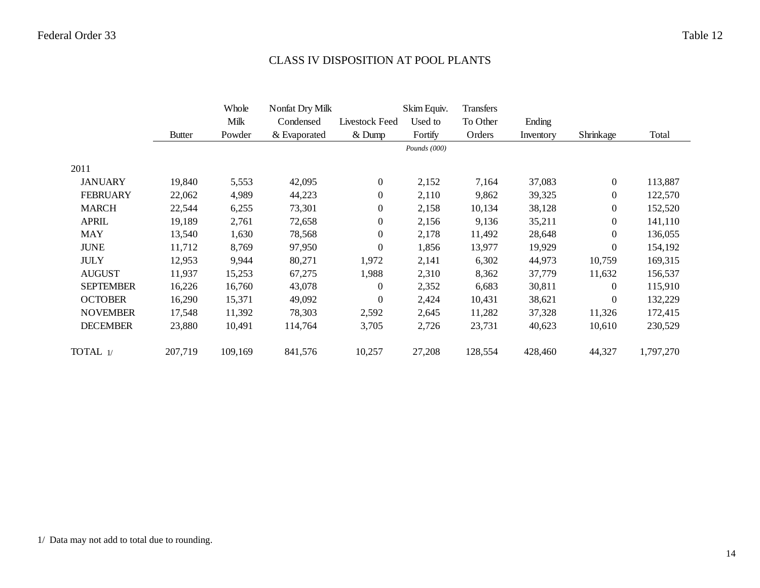#### CLASS IV DISPOSITION AT POOL PLANTS

|                  |               | Whole   | Nonfat Dry Milk |                  | Skim Equiv.    | <b>Transfers</b> |           |                  |           |
|------------------|---------------|---------|-----------------|------------------|----------------|------------------|-----------|------------------|-----------|
|                  |               | Milk    | Condensed       | Livestock Feed   | Used to        | To Other         | Ending    |                  |           |
|                  | <b>Butter</b> | Powder  | & Evaporated    | $&$ Dump         | Fortify        | Orders           | Inventory | Shrinkage        | Total     |
|                  |               |         |                 |                  | Pounds $(000)$ |                  |           |                  |           |
| 2011             |               |         |                 |                  |                |                  |           |                  |           |
| <b>JANUARY</b>   | 19,840        | 5,553   | 42,095          | $\overline{0}$   | 2,152          | 7,164            | 37,083    | $\overline{0}$   | 113,887   |
| <b>FEBRUARY</b>  | 22,062        | 4,989   | 44,223          | $\boldsymbol{0}$ | 2,110          | 9,862            | 39,325    | $\mathbf{0}$     | 122,570   |
| <b>MARCH</b>     | 22,544        | 6,255   | 73,301          | $\boldsymbol{0}$ | 2,158          | 10,134           | 38,128    | $\boldsymbol{0}$ | 152,520   |
| <b>APRIL</b>     | 19,189        | 2,761   | 72,658          | $\overline{0}$   | 2,156          | 9,136            | 35,211    | $\overline{0}$   | 141,110   |
| <b>MAY</b>       | 13,540        | 1,630   | 78,568          | $\boldsymbol{0}$ | 2,178          | 11,492           | 28,648    | $\overline{0}$   | 136,055   |
| <b>JUNE</b>      | 11,712        | 8,769   | 97,950          | $\overline{0}$   | 1,856          | 13,977           | 19,929    | $\mathbf{0}$     | 154,192   |
| <b>JULY</b>      | 12,953        | 9,944   | 80,271          | 1,972            | 2,141          | 6,302            | 44,973    | 10,759           | 169,315   |
| <b>AUGUST</b>    | 11,937        | 15,253  | 67,275          | 1,988            | 2,310          | 8,362            | 37,779    | 11,632           | 156,537   |
| <b>SEPTEMBER</b> | 16,226        | 16,760  | 43,078          | $\overline{0}$   | 2,352          | 6,683            | 30,811    | $\Omega$         | 115,910   |
| <b>OCTOBER</b>   | 16,290        | 15,371  | 49,092          | $\overline{0}$   | 2,424          | 10,431           | 38,621    | $\boldsymbol{0}$ | 132,229   |
| <b>NOVEMBER</b>  | 17,548        | 11,392  | 78,303          | 2,592            | 2,645          | 11,282           | 37,328    | 11,326           | 172,415   |
| <b>DECEMBER</b>  | 23,880        | 10,491  | 114,764         | 3,705            | 2,726          | 23,731           | 40,623    | 10,610           | 230,529   |
| TOTAL 1/         | 207,719       | 109,169 | 841,576         | 10,257           | 27,208         | 128,554          | 428,460   | 44,327           | 1,797,270 |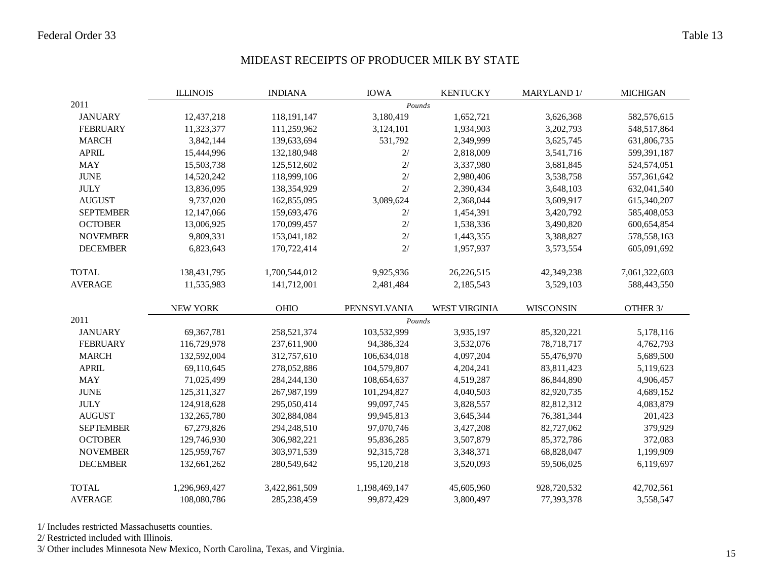#### MIDEAST RECEIPTS OF PRODUCER MILK BY STATE

|                  | <b>ILLINOIS</b> | <b>INDIANA</b> | <b>IOWA</b>   | <b>KENTUCKY</b>      | MARYLAND 1/      | <b>MICHIGAN</b> |
|------------------|-----------------|----------------|---------------|----------------------|------------------|-----------------|
| 2011             |                 |                | Pounds        |                      |                  |                 |
| <b>JANUARY</b>   | 12,437,218      | 118,191,147    | 3,180,419     | 1,652,721            | 3,626,368        | 582,576,615     |
| <b>FEBRUARY</b>  | 11,323,377      | 111,259,962    | 3,124,101     | 1,934,903            | 3,202,793        | 548,517,864     |
| <b>MARCH</b>     | 3,842,144       | 139,633,694    | 531,792       | 2,349,999            | 3,625,745        | 631,806,735     |
| <b>APRIL</b>     | 15,444,996      | 132,180,948    | 2/            | 2,818,009            | 3,541,716        | 599,391,187     |
| <b>MAY</b>       | 15,503,738      | 125,512,602    | $2/$          | 3,337,980            | 3,681,845        | 524,574,051     |
| <b>JUNE</b>      | 14,520,242      | 118,999,106    | 2/            | 2,980,406            | 3,538,758        | 557,361,642     |
| <b>JULY</b>      | 13,836,095      | 138,354,929    | 2/            | 2,390,434            | 3,648,103        | 632,041,540     |
| <b>AUGUST</b>    | 9,737,020       | 162,855,095    | 3,089,624     | 2,368,044            | 3,609,917        | 615,340,207     |
| <b>SEPTEMBER</b> | 12,147,066      | 159,693,476    | $2/$          | 1,454,391            | 3,420,792        | 585,408,053     |
| <b>OCTOBER</b>   | 13,006,925      | 170,099,457    | 2/            | 1,538,336            | 3,490,820        | 600,654,854     |
| <b>NOVEMBER</b>  | 9,809,331       | 153,041,182    | 2/            | 1,443,355            | 3,388,827        | 578,558,163     |
| <b>DECEMBER</b>  | 6,823,643       | 170,722,414    | 2/            | 1,957,937            | 3,573,554        | 605,091,692     |
| <b>TOTAL</b>     | 138,431,795     | 1,700,544,012  | 9,925,936     | 26,226,515           | 42,349,238       | 7,061,322,603   |
| <b>AVERAGE</b>   | 11,535,983      | 141,712,001    | 2,481,484     | 2,185,543            | 3,529,103        | 588,443,550     |
|                  | <b>NEW YORK</b> | <b>OHIO</b>    | PENNSYLVANIA  | <b>WEST VIRGINIA</b> | <b>WISCONSIN</b> | OTHER 3/        |
| 2011             |                 |                | Pounds        |                      |                  |                 |
| <b>JANUARY</b>   | 69,367,781      | 258,521,374    | 103,532,999   | 3,935,197            | 85,320,221       | 5,178,116       |
| <b>FEBRUARY</b>  | 116,729,978     | 237,611,900    | 94,386,324    | 3,532,076            | 78,718,717       | 4,762,793       |
| <b>MARCH</b>     | 132,592,004     | 312,757,610    | 106,634,018   | 4,097,204            | 55,476,970       | 5,689,500       |
| <b>APRIL</b>     | 69,110,645      | 278,052,886    | 104,579,807   | 4,204,241            | 83,811,423       | 5,119,623       |
| <b>MAY</b>       | 71,025,499      | 284, 244, 130  | 108,654,637   | 4,519,287            | 86, 844, 890     | 4,906,457       |
| <b>JUNE</b>      | 125,311,327     | 267,987,199    | 101,294,827   | 4,040,503            | 82,920,735       | 4,689,152       |
| <b>JULY</b>      | 124,918,628     | 295,050,414    | 99,097,745    | 3,828,557            | 82,812,312       | 4,083,879       |
| <b>AUGUST</b>    | 132,265,780     | 302,884,084    | 99,945,813    | 3,645,344            | 76,381,344       | 201,423         |
| <b>SEPTEMBER</b> | 67,279,826      | 294,248,510    | 97,070,746    | 3,427,208            | 82,727,062       | 379,929         |
| <b>OCTOBER</b>   | 129,746,930     | 306,982,221    | 95,836,285    | 3,507,879            | 85,372,786       | 372,083         |
| <b>NOVEMBER</b>  | 125,959,767     | 303,971,539    | 92,315,728    | 3,348,371            | 68,828,047       | 1,199,909       |
| <b>DECEMBER</b>  | 132,661,262     | 280,549,642    | 95,120,218    | 3,520,093            | 59,506,025       | 6,119,697       |
| <b>TOTAL</b>     | 1,296,969,427   | 3,422,861,509  | 1,198,469,147 | 45,605,960           | 928,720,532      | 42,702,561      |
| <b>AVERAGE</b>   | 108,080,786     | 285,238,459    | 99,872,429    | 3,800,497            | 77,393,378       | 3,558,547       |

1/ Includes restricted Massachusetts counties.

2/ Restricted included with Illinois.

3/ Other includes Minnesota New Mexico, North Carolina, Texas, and Virginia.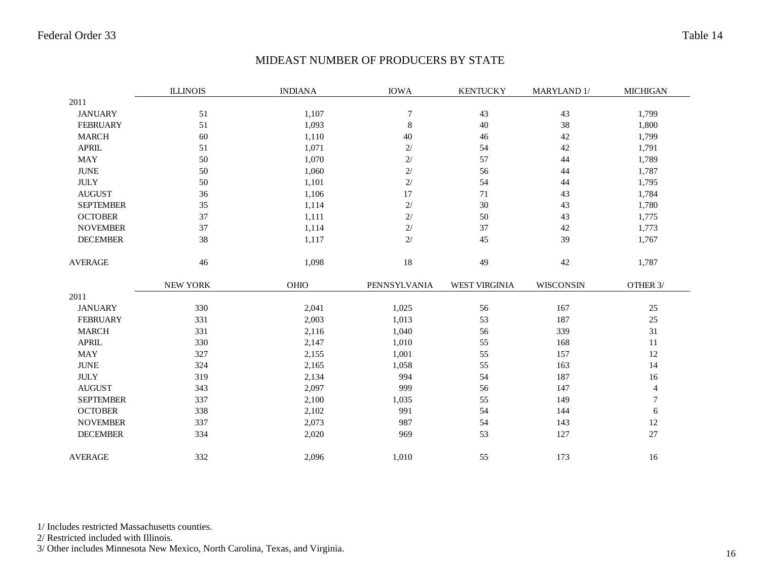#### MIDEAST NUMBER OF PRODUCERS BY STATE

|                  | <b>ILLINOIS</b> | <b>INDIANA</b> | <b>IOWA</b>      | <b>KENTUCKY</b>      | MARYLAND 1/ | <b>MICHIGAN</b> |
|------------------|-----------------|----------------|------------------|----------------------|-------------|-----------------|
| 2011             |                 |                |                  |                      |             |                 |
| <b>JANUARY</b>   | 51              | 1,107          | $\boldsymbol{7}$ | 43                   | 43          | 1,799           |
| <b>FEBRUARY</b>  | 51              | 1,093          | $\,8\,$          | $40\,$               | 38          | 1,800           |
| <b>MARCH</b>     | 60              | 1,110          | 40               | 46                   | 42          | 1,799           |
| <b>APRIL</b>     | 51              | 1,071          | 2/               | 54                   | 42          | 1,791           |
| <b>MAY</b>       | 50              | 1,070          | 2/               | 57                   | 44          | 1,789           |
| <b>JUNE</b>      | 50              | 1,060          | 2/               | 56                   | 44          | 1,787           |
| $\rm JULY$       | 50              | 1,101          | 2/               | 54                   | 44          | 1,795           |
| <b>AUGUST</b>    | 36              | 1,106          | 17               | 71                   | 43          | 1,784           |
| <b>SEPTEMBER</b> | 35              | 1,114          | 2/               | $30\,$               | 43          | 1,780           |
| <b>OCTOBER</b>   | 37              | 1,111          | 2/               | 50                   | 43          | 1,775           |
| <b>NOVEMBER</b>  | 37              | 1,114          | 2/               | 37                   | 42          | 1,773           |
| <b>DECEMBER</b>  | $38\,$          | 1,117          | 2/               | 45                   | 39          | 1,767           |
| <b>AVERAGE</b>   | $46\,$          | 1,098          | $18\,$           | 49                   | $42\,$      | 1,787           |
|                  | <b>NEW YORK</b> | OHIO           | PENNSYLVANIA     | <b>WEST VIRGINIA</b> | WISCONSIN   | OTHER 3/        |
| 2011             |                 |                |                  |                      |             |                 |
| <b>JANUARY</b>   | 330             | 2,041          | 1,025            | 56                   | 167         | $25\,$          |
| <b>FEBRUARY</b>  | 331             | 2,003          | 1,013            | 53                   | 187         | 25              |
| <b>MARCH</b>     | 331             | 2,116          | 1,040            | 56                   | 339         | 31              |
| <b>APRIL</b>     | 330             | 2,147          | 1,010            | 55                   | 168         | 11              |
| <b>MAY</b>       | 327             | 2,155          | 1,001            | 55                   | 157         | 12              |
| <b>JUNE</b>      | 324             | 2,165          | 1,058            | 55                   | 163         | 14              |
| $\rm JULY$       | 319             | 2,134          | 994              | 54                   | 187         | 16              |
| <b>AUGUST</b>    | 343             | 2,097          | 999              | 56                   | 147         | 4               |
| <b>SEPTEMBER</b> | 337             | 2,100          | 1,035            | 55                   | 149         | 7               |
| <b>OCTOBER</b>   | 338             | 2,102          | 991              | 54                   | 144         | 6               |
| <b>NOVEMBER</b>  | 337             | 2,073          | 987              | 54                   | 143         | 12              |
| <b>DECEMBER</b>  | 334             | 2,020          | 969              | 53                   | 127         | 27              |
| <b>AVERAGE</b>   | 332             | 2,096          | 1,010            | 55                   | 173         | 16              |

1/ Includes restricted Massachusetts counties.

2/ Restricted included with Illinois.

3/ Other includes Minnesota New Mexico, North Carolina, Texas, and Virginia.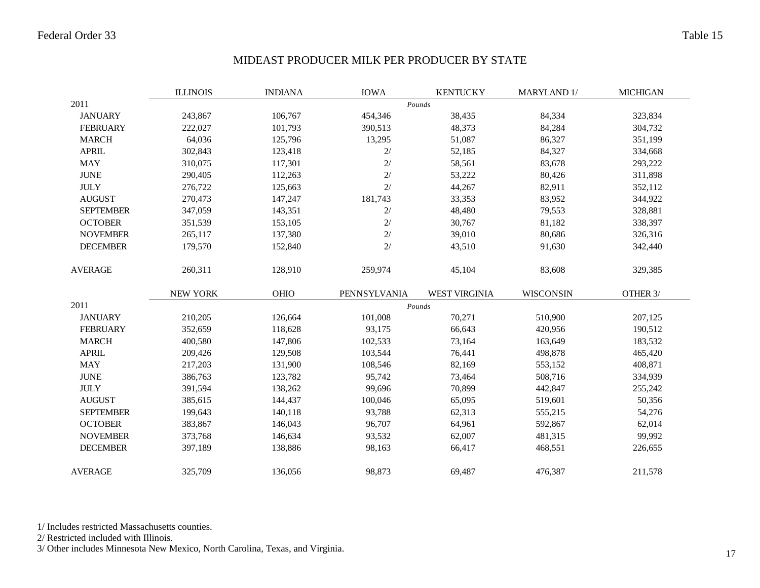#### MIDEAST PRODUCER MILK PER PRODUCER BY STATE

|                  | <b>ILLINOIS</b> | <b>INDIANA</b> | <b>IOWA</b>  | <b>KENTUCKY</b>      | MARYLAND 1/      | <b>MICHIGAN</b> |
|------------------|-----------------|----------------|--------------|----------------------|------------------|-----------------|
| 2011             |                 |                |              | Pounds               |                  |                 |
| <b>JANUARY</b>   | 243,867         | 106,767        | 454,346      | 38,435               | 84,334           | 323,834         |
| <b>FEBRUARY</b>  | 222,027         | 101,793        | 390,513      | 48,373               | 84,284           | 304,732         |
| <b>MARCH</b>     | 64,036          | 125,796        | 13,295       | 51,087               | 86,327           | 351,199         |
| <b>APRIL</b>     | 302,843         | 123,418        | 2/           | 52,185               | 84,327           | 334,668         |
| <b>MAY</b>       | 310,075         | 117,301        | 2/           | 58,561               | 83,678           | 293,222         |
| <b>JUNE</b>      | 290,405         | 112,263        | 2/           | 53,222               | 80,426           | 311,898         |
| <b>JULY</b>      | 276,722         | 125,663        | 2/           | 44,267               | 82,911           | 352,112         |
| <b>AUGUST</b>    | 270,473         | 147,247        | 181,743      | 33,353               | 83,952           | 344,922         |
| <b>SEPTEMBER</b> | 347,059         | 143,351        | $2/$         | 48,480               | 79,553           | 328,881         |
| <b>OCTOBER</b>   | 351,539         | 153,105        | $2/$         | 30,767               | 81,182           | 338,397         |
| <b>NOVEMBER</b>  | 265,117         | 137,380        | 2/           | 39,010               | 80,686           | 326,316         |
| <b>DECEMBER</b>  | 179,570         | 152,840        | 2/           | 43,510               | 91,630           | 342,440         |
| <b>AVERAGE</b>   | 260,311         | 128,910        | 259,974      | 45,104               | 83,608           | 329,385         |
|                  | <b>NEW YORK</b> | OHIO           | PENNSYLVANIA | <b>WEST VIRGINIA</b> | <b>WISCONSIN</b> | OTHER 3/        |
| 2011             |                 |                |              | Pounds               |                  |                 |
| <b>JANUARY</b>   | 210,205         | 126,664        | 101,008      | 70,271               | 510,900          | 207,125         |
| <b>FEBRUARY</b>  | 352,659         | 118,628        | 93,175       | 66,643               | 420,956          | 190,512         |
| <b>MARCH</b>     | 400,580         | 147,806        | 102,533      | 73,164               | 163,649          | 183,532         |
| <b>APRIL</b>     | 209,426         | 129,508        | 103,544      | 76,441               | 498,878          | 465,420         |
| <b>MAY</b>       | 217,203         | 131,900        | 108,546      | 82,169               | 553,152          | 408,871         |
| <b>JUNE</b>      | 386,763         | 123,782        | 95,742       | 73,464               | 508,716          | 334,939         |
| <b>JULY</b>      | 391,594         | 138,262        | 99,696       | 70,899               | 442,847          | 255,242         |
| <b>AUGUST</b>    | 385,615         | 144,437        | 100,046      | 65,095               | 519,601          | 50,356          |
| <b>SEPTEMBER</b> | 199,643         | 140,118        | 93,788       | 62,313               | 555,215          | 54,276          |
| <b>OCTOBER</b>   | 383,867         | 146,043        | 96,707       | 64,961               | 592,867          | 62,014          |
| <b>NOVEMBER</b>  | 373,768         | 146,634        | 93,532       | 62,007               | 481,315          | 99,992          |
| <b>DECEMBER</b>  | 397,189         | 138,886        | 98,163       | 66,417               | 468,551          | 226,655         |
| <b>AVERAGE</b>   | 325,709         | 136,056        | 98,873       | 69,487               | 476,387          | 211,578         |

1/ Includes restricted Massachusetts counties.

2/ Restricted included with Illinois.

3/ Other includes Minnesota New Mexico, North Carolina, Texas, and Virginia.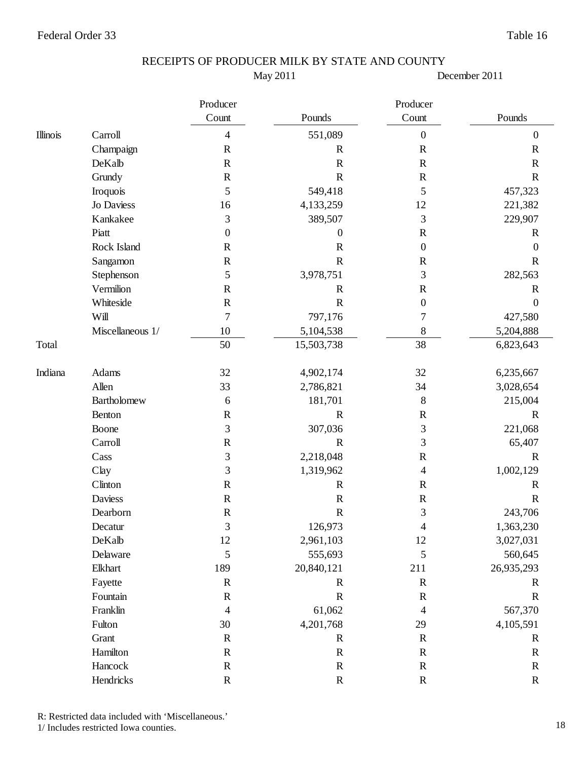May 2011

December 2011

|          |                  | Producer         |                  | Producer                 |                  |
|----------|------------------|------------------|------------------|--------------------------|------------------|
|          |                  | Count            | Pounds           | Count                    | Pounds           |
| Illinois | Carroll          | $\overline{4}$   | 551,089          | $\boldsymbol{0}$         | $\boldsymbol{0}$ |
|          | Champaign        | ${\bf R}$        | $\mathbf R$      | ${\bf R}$                | $\mathbf R$      |
|          | DeKalb           | $\mathbf R$      | $\mathbb{R}$     | $\mathbf R$              | $\mathbf R$      |
|          | Grundy           | $\mathbf R$      | $\mathbf R$      | $\mathbf R$              | $\mathbf R$      |
|          | Iroquois         | 5                | 549,418          | 5                        | 457,323          |
|          | Jo Daviess       | 16               | 4,133,259        | 12                       | 221,382          |
|          | Kankakee         | 3                | 389,507          | 3                        | 229,907          |
|          | Piatt            | $\boldsymbol{0}$ | $\boldsymbol{0}$ | $\mathbf R$              | $\mathbf R$      |
|          | Rock Island      | $\mathbf R$      | ${\bf R}$        | $\boldsymbol{0}$         | $\boldsymbol{0}$ |
|          | Sangamon         | $\mathbf R$      | $\mathbf R$      | $\mathbf R$              | $\mathbf R$      |
|          | Stephenson       | 5                | 3,978,751        | 3                        | 282,563          |
|          | Vermilion        | $\mathbf R$      | $\mathbf R$      | $\mathbf R$              | $\mathbf R$      |
|          | Whiteside        | $\mathbf R$      | $\mathbf R$      | $\boldsymbol{0}$         | $\boldsymbol{0}$ |
|          | Will             | $\boldsymbol{7}$ | 797,176          | $\overline{7}$           | 427,580          |
|          | Miscellaneous 1/ | 10               | 5,104,538        | $\,8\,$                  | 5,204,888        |
| Total    |                  | 50               | 15,503,738       | 38                       | 6,823,643        |
| Indiana  | Adams            | 32               | 4,902,174        | 32                       | 6,235,667        |
|          | Allen            | 33               | 2,786,821        | 34                       | 3,028,654        |
|          | Bartholomew      | 6                | 181,701          | 8                        | 215,004          |
|          | Benton           | $\mathbf R$      | $\mathbf R$      | $\mathbf R$              | $\mathbf R$      |
|          | Boone            | 3                | 307,036          | 3                        | 221,068          |
|          | Carroll          | ${\bf R}$        | $\mathbf R$      | 3                        | 65,407           |
|          | Cass             | 3                | 2,218,048        | $\mathbf R$              | $\mathbf R$      |
|          | Clay             | 3                | 1,319,962        | $\overline{\mathcal{A}}$ | 1,002,129        |
|          | Clinton          | $\mathbf R$      | $\mathbf R$      | $\mathbf R$              | $\mathbb{R}$     |
|          | <b>Daviess</b>   | $\mathbf R$      | $\mathbf R$      | $\mathbf R$              | $\mathbf R$      |
|          | Dearborn         | $\mathbf R$      | ${\bf R}$        | 3                        | 243,706          |
|          | Decatur          | 3                | 126,973          | 4                        | 1,363,230        |
|          | DeKalb           | 12               | 2,961,103        | 12                       | 3,027,031        |
|          | Delaware         | 5                | 555,693          | 5                        | 560,645          |
|          | Elkhart          | 189              | 20,840,121       | 211                      | 26,935,293       |
|          | Fayette          | $\mathbf R$      | $\mathbb{R}$     | $\mathbf R$              | $\mathbf R$      |
|          | Fountain         | $\mathbf R$      | ${\bf R}$        | ${\bf R}$                | $\mathbf R$      |
|          | Franklin         | 4                | 61,062           | $\overline{4}$           | 567,370          |
|          | Fulton           | $30\,$           | 4,201,768        | 29                       | 4,105,591        |
|          | Grant            | ${\bf R}$        | $\mathbf R$      | ${\bf R}$                | $\mathbf R$      |
|          | Hamilton         | ${\bf R}$        | ${\bf R}$        | ${\bf R}$                | $\mathbf R$      |
|          | Hancock          | $\mathbf R$      | $\mathbf R$      | ${\bf R}$                | $\mathbf R$      |
|          | Hendricks        | ${\bf R}$        | ${\bf R}$        | ${\bf R}$                | ${\bf R}$        |

R: Restricted data included with 'Miscellaneous.'

1/ Includes restricted Iowa counties.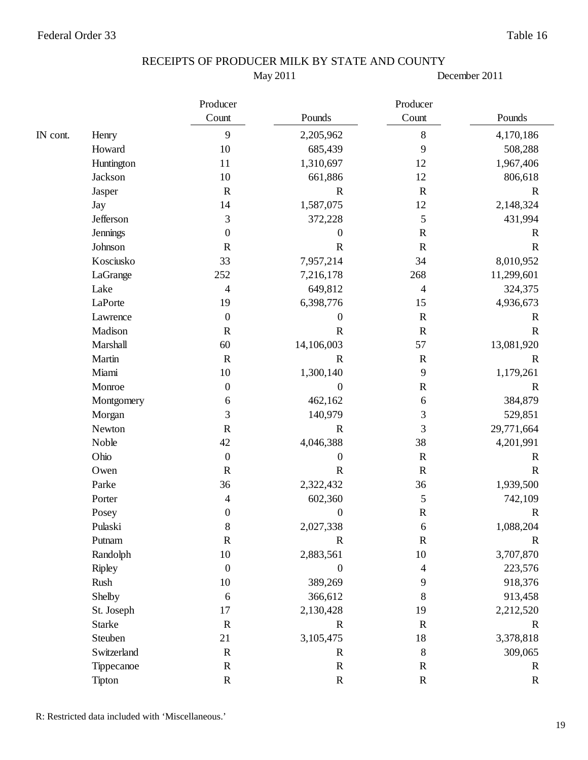May 2011

|          |                 | Producer         |                  | Producer       |             |
|----------|-----------------|------------------|------------------|----------------|-------------|
|          |                 | Count            | Pounds           | Count          | Pounds      |
| IN cont. | Henry           | 9                | 2,205,962        | 8              | 4,170,186   |
|          | Howard          | 10               | 685,439          | 9              | 508,288     |
|          | Huntington      | 11               | 1,310,697        | 12             | 1,967,406   |
|          | Jackson         | $10\,$           | 661,886          | 12             | 806,618     |
|          | Jasper          | $\mathbf R$      | $\mathbf R$      | $\mathbf R$    | $\mathbf R$ |
|          | Jay             | 14               | 1,587,075        | 12             | 2,148,324   |
|          | Jefferson       | 3                | 372,228          | 5              | 431,994     |
|          | <b>Jennings</b> | $\boldsymbol{0}$ | $\boldsymbol{0}$ | $\mathbf R$    | $\mathbf R$ |
|          | Johnson         | $\mathbf R$      | $\mathbf R$      | ${\bf R}$      | $\mathbf R$ |
|          | Kosciusko       | 33               | 7,957,214        | 34             | 8,010,952   |
|          | LaGrange        | 252              | 7,216,178        | 268            | 11,299,601  |
|          | Lake            | 4                | 649,812          | 4              | 324,375     |
|          | LaPorte         | 19               | 6,398,776        | 15             | 4,936,673   |
|          | Lawrence        | $\boldsymbol{0}$ | $\boldsymbol{0}$ | $\mathbf R$    | $\mathbf R$ |
|          | Madison         | $\mathbf R$      | $\mathbf R$      | $\mathbf R$    | $\mathbf R$ |
|          | Marshall        | 60               | 14,106,003       | 57             | 13,081,920  |
|          | Martin          | $\mathbf R$      | $\mathbb{R}$     | $\mathbf R$    | $\mathbf R$ |
|          | Miami           | $10\,$           | 1,300,140        | 9              | 1,179,261   |
|          | Monroe          | $\boldsymbol{0}$ | $\boldsymbol{0}$ | ${\bf R}$      | $\mathbf R$ |
|          | Montgomery      | 6                | 462,162          | 6              | 384,879     |
|          | Morgan          | 3                | 140,979          | $\mathfrak{Z}$ | 529,851     |
|          | Newton          | ${\bf R}$        | $\mathbf R$      | 3              | 29,771,664  |
|          | Noble           | 42               | 4,046,388        | 38             | 4,201,991   |
|          | Ohio            | $\boldsymbol{0}$ | $\boldsymbol{0}$ | $\mathbf R$    | $\mathbf R$ |
|          | Owen            | ${\bf R}$        | $\mathbf R$      | ${\bf R}$      | $\mathbf R$ |
|          | Parke           | 36               | 2,322,432        | 36             | 1,939,500   |
|          | Porter          | 4                | 602,360          | 5              | 742,109     |
|          | Posey           | $\boldsymbol{0}$ | $\boldsymbol{0}$ | ${\bf R}$      | $\mathbf R$ |
|          | Pulaski         | 8                | 2,027,338        | 6              | 1,088,204   |
|          | Putnam          | ${\bf R}$        | ${\bf R}$        | ${\bf R}$      | $\mathbf R$ |
|          | Randolph        | $10\,$           | 2,883,561        | 10             | 3,707,870   |
|          | <b>Ripley</b>   | $\boldsymbol{0}$ | $\boldsymbol{0}$ | 4              | 223,576     |
|          | Rush            | 10               | 389,269          | 9              | 918,376     |
|          | Shelby          | $\sqrt{6}$       | 366,612          | 8              | 913,458     |
|          | St. Joseph      | 17               | 2,130,428        | 19             | 2,212,520   |
|          | <b>Starke</b>   | $\mathbf R$      | $\mathbf R$      | $\mathbf R$    | $\mathbf R$ |
|          | Steuben         | 21               | 3,105,475        | 18             | 3,378,818   |
|          | Switzerland     | ${\bf R}$        | $\mathbf R$      | 8              | 309,065     |
|          | Tippecanoe      | ${\bf R}$        | ${\bf R}$        | $\mathbf R$    | $\mathbf R$ |
|          | Tipton          | ${\bf R}$        | ${\bf R}$        | ${\bf R}$      | $\mathbf R$ |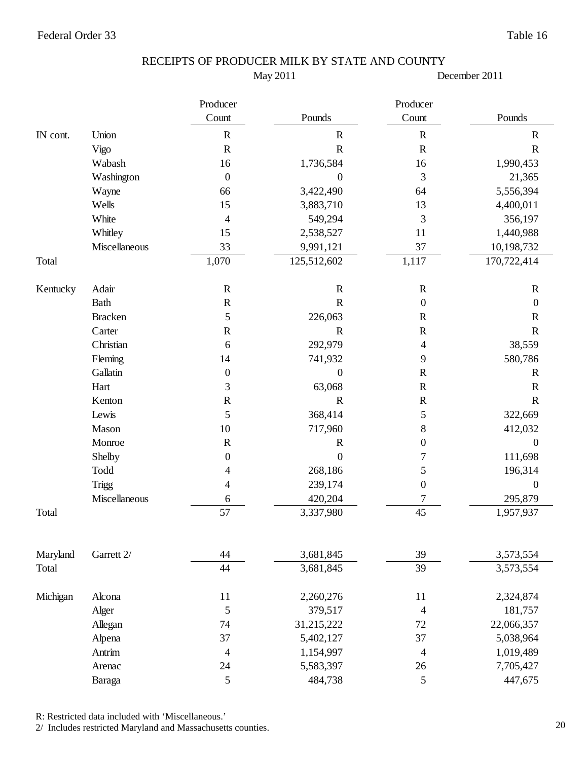May 2011

December 2011

|          |                | Producer         |                  | Producer                 |                  |
|----------|----------------|------------------|------------------|--------------------------|------------------|
|          |                | Count            | Pounds           | Count                    | Pounds           |
| IN cont. | Union          | ${\bf R}$        | $\mathbf R$      | ${\bf R}$                | $\mathbf R$      |
|          | Vigo           | $\mathbf R$      | $\mathbf R$      | ${\bf R}$                | $\mathbf R$      |
|          | Wabash         | 16               | 1,736,584        | 16                       | 1,990,453        |
|          | Washington     | $\boldsymbol{0}$ | 0                | 3                        | 21,365           |
|          | Wayne          | 66               | 3,422,490        | 64                       | 5,556,394        |
|          | Wells          | 15               | 3,883,710        | 13                       | 4,400,011        |
|          | White          | $\overline{4}$   | 549,294          | 3                        | 356,197          |
|          | Whitley        | 15               | 2,538,527        | 11                       | 1,440,988        |
|          | Miscellaneous  | 33               | 9,991,121        | 37                       | 10,198,732       |
| Total    |                | 1,070            | 125,512,602      | 1,117                    | 170,722,414      |
| Kentucky | Adair          | $\mathbf R$      | $\mathbf R$      | $\mathbf R$              | $\mathbf R$      |
|          | <b>Bath</b>    | ${\bf R}$        | $\mathbf R$      | $\boldsymbol{0}$         | $\boldsymbol{0}$ |
|          | <b>Bracken</b> | 5                | 226,063          | $\mathbf R$              | $\mathbf R$      |
|          | Carter         | ${\bf R}$        | ${\bf R}$        | ${\bf R}$                | $\mathbf R$      |
|          | Christian      | 6                | 292,979          | 4                        | 38,559           |
|          | Fleming        | 14               | 741,932          | 9                        | 580,786          |
|          | Gallatin       | $\boldsymbol{0}$ | $\boldsymbol{0}$ | $\mathbf R$              | $\mathbf R$      |
|          | Hart           | 3                | 63,068           | $\mathbf R$              | $\mathbf R$      |
|          | Kenton         | ${\bf R}$        | $\mathbf R$      | $\mathbf R$              | $\mathbf R$      |
|          | Lewis          | 5                | 368,414          | 5                        | 322,669          |
|          | Mason          | 10               | 717,960          | 8                        | 412,032          |
|          | Monroe         | ${\bf R}$        | $\mathbf R$      | $\boldsymbol{0}$         | $\boldsymbol{0}$ |
|          | Shelby         | $\boldsymbol{0}$ | $\boldsymbol{0}$ | 7                        | 111,698          |
|          | Todd           | 4                | 268,186          | 5                        | 196,314          |
|          | Trigg          | 4                | 239,174          | $\boldsymbol{0}$         | $\boldsymbol{0}$ |
|          | Miscellaneous  | 6                | 420,204          | 7                        | 295,879          |
| Total    |                | 57               | 3,337,980        | 45                       | 1,957,937        |
|          |                |                  |                  |                          |                  |
| Maryland | Garrett 2/     | 44               | 3,681,845        | 39                       | 3,573,554        |
| Total    |                | 44               | 3,681,845        | 39                       | 3,573,554        |
| Michigan | Alcona         | 11               | 2,260,276        | 11                       | 2,324,874        |
|          | Alger          | 5                | 379,517          | $\overline{\mathcal{A}}$ | 181,757          |
|          | Allegan        | 74               | 31,215,222       | 72                       | 22,066,357       |
|          | Alpena         | 37               | 5,402,127        | 37                       | 5,038,964        |
|          | Antrim         | $\overline{4}$   | 1,154,997        | $\overline{\mathcal{A}}$ | 1,019,489        |
|          | Arenac         | 24               | 5,583,397        | 26                       | 7,705,427        |
|          | Baraga         | 5                | 484,738          | $\sqrt{5}$               | 447,675          |

R: Restricted data included with 'Miscellaneous.'

2/ Includes restricted Maryland and Massachusetts counties.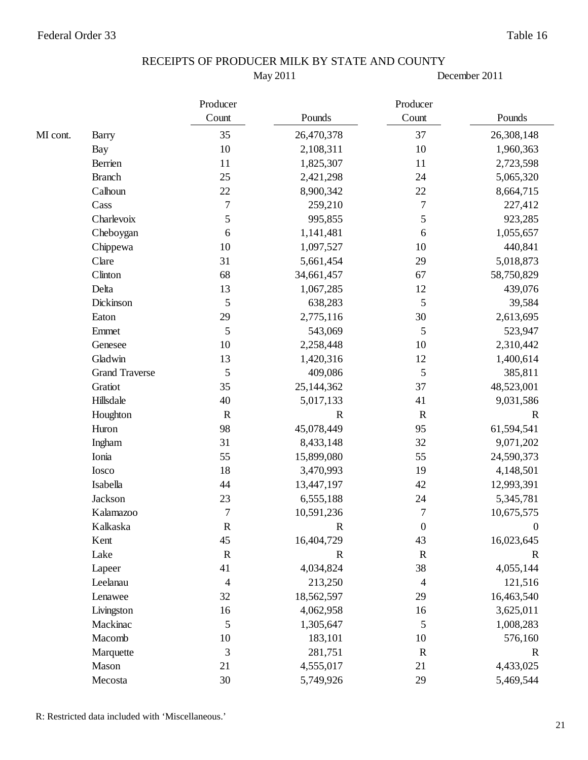May 2011

|          |                       | Producer         |             | Producer                 |             |
|----------|-----------------------|------------------|-------------|--------------------------|-------------|
|          |                       | Count            | Pounds      | Count                    | Pounds      |
| MI cont. | <b>Barry</b>          | 35               | 26,470,378  | 37                       | 26,308,148  |
|          | <b>Bay</b>            | 10               | 2,108,311   | 10                       | 1,960,363   |
|          | Berrien               | 11               | 1,825,307   | 11                       | 2,723,598   |
|          | <b>Branch</b>         | 25               | 2,421,298   | 24                       | 5,065,320   |
|          | Calhoun               | $22\,$           | 8,900,342   | 22                       | 8,664,715   |
|          | Cass                  | $\boldsymbol{7}$ | 259,210     | $\boldsymbol{7}$         | 227,412     |
|          | Charlevoix            | 5                | 995,855     | 5                        | 923,285     |
|          | Cheboygan             | 6                | 1,141,481   | 6                        | 1,055,657   |
|          | Chippewa              | 10               | 1,097,527   | 10                       | 440,841     |
|          | Clare                 | 31               | 5,661,454   | 29                       | 5,018,873   |
|          | Clinton               | 68               | 34,661,457  | 67                       | 58,750,829  |
|          | Delta                 | 13               | 1,067,285   | 12                       | 439,076     |
|          | Dickinson             | 5                | 638,283     | 5                        | 39,584      |
|          | Eaton                 | 29               | 2,775,116   | 30                       | 2,613,695   |
|          | Emmet                 | 5                | 543,069     | 5                        | 523,947     |
|          | Genesee               | 10               | 2,258,448   | 10                       | 2,310,442   |
|          | Gladwin               | 13               | 1,420,316   | 12                       | 1,400,614   |
|          | <b>Grand Traverse</b> | 5                | 409,086     | 5                        | 385,811     |
|          | Gratiot               | 35               | 25,144,362  | 37                       | 48,523,001  |
|          | Hillsdale             | 40               | 5,017,133   | 41                       | 9,031,586   |
|          | Houghton              | $\mathbf R$      | $\mathbf R$ | $\mathbf R$              | $\mathbf R$ |
|          | Huron                 | 98               | 45,078,449  | 95                       | 61,594,541  |
|          | Ingham                | 31               | 8,433,148   | 32                       | 9,071,202   |
|          | Ionia                 | 55               | 15,899,080  | 55                       | 24,590,373  |
|          | Iosco                 | 18               | 3,470,993   | 19                       | 4,148,501   |
|          | Isabella              | 44               | 13,447,197  | 42                       | 12,993,391  |
|          | Jackson               | 23               | 6,555,188   | 24                       | 5,345,781   |
|          | Kalamazoo             | $\overline{7}$   | 10,591,236  | $\overline{7}$           | 10,675,575  |
|          | Kalkaska              | $\mathbf R$      | R           | $\boldsymbol{0}$         | $\theta$    |
|          | Kent                  | 45               | 16,404,729  | 43                       | 16,023,645  |
|          | Lake                  | $\mathbf R$      | $\mathbf R$ | $\mathbf R$              | $\mathbf R$ |
|          | Lapeer                | 41               | 4,034,824   | 38                       | 4,055,144   |
|          | Leelanau              | $\overline{4}$   | 213,250     | $\overline{\mathcal{A}}$ | 121,516     |
|          | Lenawee               | 32               | 18,562,597  | 29                       | 16,463,540  |
|          | Livingston            | 16               | 4,062,958   | 16                       | 3,625,011   |
|          | Mackinac              | 5                | 1,305,647   | 5                        | 1,008,283   |
|          | Macomb                | 10               | 183,101     | 10                       | 576,160     |
|          | Marquette             | 3                | 281,751     | $\mathbf R$              | $\mathbf R$ |
|          | Mason                 | 21               | 4,555,017   | 21                       | 4,433,025   |
|          | Mecosta               | 30               | 5,749,926   | 29                       | 5,469,544   |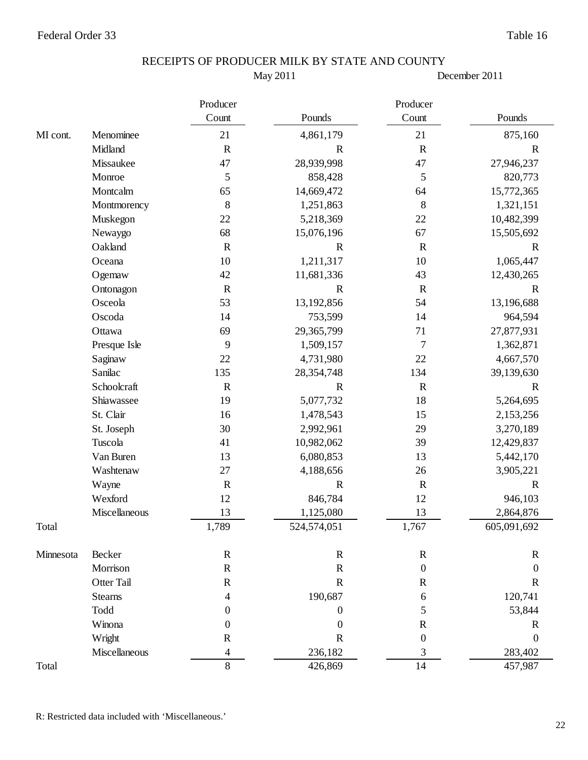May 2011

|           |                | Producer                 | Producer         |                  |                  |  |
|-----------|----------------|--------------------------|------------------|------------------|------------------|--|
|           |                | Count                    | Pounds           | Count            | Pounds           |  |
| MI cont.  | Menominee      | 21                       | 4,861,179        | 21               | 875,160          |  |
|           | Midland        | $\mathbb{R}$             | $\mathbf R$      | $\mathbf R$      | $\mathbf R$      |  |
|           | Missaukee      | 47                       | 28,939,998       | 47               | 27,946,237       |  |
|           | Monroe         | 5                        | 858,428          | 5                | 820,773          |  |
|           | Montcalm       | 65                       | 14,669,472       | 64               | 15,772,365       |  |
|           | Montmorency    | $8\,$                    | 1,251,863        | $\,8\,$          | 1,321,151        |  |
|           | Muskegon       | 22                       | 5,218,369        | 22               | 10,482,399       |  |
|           | Newaygo        | 68                       | 15,076,196       | 67               | 15,505,692       |  |
|           | Oakland        | ${\bf R}$                | $\mathbb{R}$     | ${\bf R}$        | $\mathbf R$      |  |
|           | Oceana         | 10                       | 1,211,317        | 10               | 1,065,447        |  |
|           | Ogemaw         | 42                       | 11,681,336       | 43               | 12,430,265       |  |
|           | Ontonagon      | $\mathbf R$              | $\mathbf R$      | $\mathbf R$      | $\mathbf R$      |  |
|           | Osceola        | 53                       | 13,192,856       | 54               | 13,196,688       |  |
|           | Oscoda         | 14                       | 753,599          | 14               | 964,594          |  |
|           | Ottawa         | 69                       | 29,365,799       | 71               | 27,877,931       |  |
|           | Presque Isle   | 9                        | 1,509,157        | $\overline{7}$   | 1,362,871        |  |
|           | Saginaw        | 22                       | 4,731,980        | 22               | 4,667,570        |  |
|           | Sanilac        | 135                      | 28,354,748       | 134              | 39,139,630       |  |
|           | Schoolcraft    | $\mathbf R$              | $\mathbf R$      | $\mathbf R$      | $\mathbf R$      |  |
|           | Shiawassee     | 19                       | 5,077,732        | 18               | 5,264,695        |  |
|           | St. Clair      | 16                       | 1,478,543        | 15               | 2,153,256        |  |
|           | St. Joseph     | 30                       | 2,992,961        | 29               | 3,270,189        |  |
|           | Tuscola        | 41                       | 10,982,062       | 39               | 12,429,837       |  |
|           | Van Buren      | 13                       | 6,080,853        | 13               | 5,442,170        |  |
|           | Washtenaw      | 27                       | 4,188,656        | 26               | 3,905,221        |  |
|           | Wayne          | $\mathbf R$              | $\mathbf R$      | $\mathbf R$      | $\mathbf R$      |  |
|           | Wexford        | 12                       | 846,784          | 12               | 946,103          |  |
|           | Miscellaneous  | 13                       | 1,125,080        | 13               | 2,864,876        |  |
| Total     |                | 1,789                    | 524,574,051      | 1,767            | 605,091,692      |  |
| Minnesota | Becker         | $\mathbf R$              | $\mathbf R$      | $\mathbf R$      | $\mathbf R$      |  |
|           | Morrison       | ${\bf R}$                | ${\bf R}$        | $\boldsymbol{0}$ | $\boldsymbol{0}$ |  |
|           | Otter Tail     | $\mathbf R$              | ${\bf R}$        | $\mathbf R$      | $\mathbf R$      |  |
|           | <b>Stearns</b> | 4                        | 190,687          | 6                | 120,741          |  |
|           | Todd           | 0                        | $\boldsymbol{0}$ | 5                | 53,844           |  |
|           | Winona         | 0                        | $\boldsymbol{0}$ | $\mathbf R$      | $\mathbf R$      |  |
|           | Wright         | $\mathbf R$              | $\mathbf R$      | $\boldsymbol{0}$ | $\boldsymbol{0}$ |  |
|           | Miscellaneous  | $\overline{\mathcal{L}}$ | 236,182          | 3                | 283,402          |  |
| Total     |                | 8                        | 426,869          | 14               | 457,987          |  |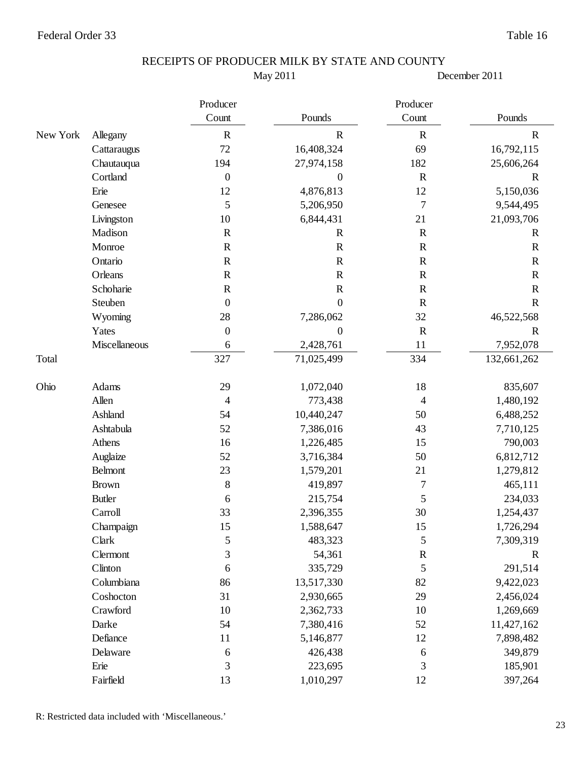May 2011

|          |               | Producer         |                  | Producer         |              |
|----------|---------------|------------------|------------------|------------------|--------------|
|          |               | Count            | Pounds           | Count            | Pounds       |
| New York | Allegany      | $\mathbb{R}$     | $\mathbf R$      | $\mathbf R$      | $\mathbf R$  |
|          | Cattaraugus   | $72\,$           | 16,408,324       | 69               | 16,792,115   |
|          | Chautauqua    | 194              | 27,974,158       | 182              | 25,606,264   |
|          | Cortland      | $\boldsymbol{0}$ | $\boldsymbol{0}$ | ${\bf R}$        | $\mathbf R$  |
|          | Erie          | 12               | 4,876,813        | 12               | 5,150,036    |
|          | Genesee       | 5                | 5,206,950        | $\boldsymbol{7}$ | 9,544,495    |
|          | Livingston    | 10               | 6,844,431        | 21               | 21,093,706   |
|          | Madison       | ${\bf R}$        | $\mathbf R$      | ${\bf R}$        | $\mathbb{R}$ |
|          | Monroe        | $\mathbb{R}$     | $\mathbf R$      | $\mathbf R$      | $\mathbf R$  |
|          | Ontario       | $\mathbf R$      | ${\bf R}$        | ${\bf R}$        | $\mathbf R$  |
|          | Orleans       | ${\bf R}$        | ${\bf R}$        | ${\bf R}$        | $\mathbf R$  |
|          | Schoharie     | $\mathbf R$      | $\mathbf R$      | $\mathbf R$      | $\mathbf R$  |
|          | Steuben       | $\boldsymbol{0}$ | $\boldsymbol{0}$ | ${\bf R}$        | $\mathbf R$  |
|          | Wyoming       | $28\,$           | 7,286,062        | 32               | 46,522,568   |
|          | Yates         | $\boldsymbol{0}$ | $\overline{0}$   | $\mathbf R$      | $\mathbf R$  |
|          | Miscellaneous | 6                | 2,428,761        | 11               | 7,952,078    |
| Total    |               | 327              | 71,025,499       | 334              | 132,661,262  |
| Ohio     | Adams         | 29               | 1,072,040        | 18               | 835,607      |
|          | Allen         | 4                | 773,438          | 4                | 1,480,192    |
|          | Ashland       | 54               | 10,440,247       | 50               | 6,488,252    |
|          | Ashtabula     | 52               | 7,386,016        | 43               | 7,710,125    |
|          | Athens        | 16               | 1,226,485        | 15               | 790,003      |
|          | Auglaize      | 52               | 3,716,384        | 50               | 6,812,712    |
|          | Belmont       | 23               | 1,579,201        | 21               | 1,279,812    |
|          | <b>Brown</b>  | $\,8\,$          | 419,897          | 7                | 465,111      |
|          | <b>Butler</b> | 6                | 215,754          | 5                | 234,033      |
|          | Carroll       | 33               | 2,396,355        | 30               | 1,254,437    |
|          | Champaign     | 15               | 1,588,647        | 15               | 1,726,294    |
|          | Clark         | 5                | 483,323          | 5                | 7,309,319    |
|          | Clermont      | 3                | 54,361           | ${\bf R}$        | $\mathbf R$  |
|          | Clinton       | 6                | 335,729          | 5                | 291,514      |
|          | Columbiana    | 86               | 13,517,330       | 82               | 9,422,023    |
|          | Coshocton     | 31               | 2,930,665        | 29               | 2,456,024    |
|          | Crawford      | 10               | 2,362,733        | $10\,$           | 1,269,669    |
|          | Darke         | 54               | 7,380,416        | 52               | 11,427,162   |
|          | Defiance      | 11               | 5,146,877        | 12               | 7,898,482    |
|          | Delaware      | $\sqrt{6}$       | 426,438          | 6                | 349,879      |
|          | Erie          | 3                | 223,695          | 3                | 185,901      |
|          | Fairfield     | 13               | 1,010,297        | 12               | 397,264      |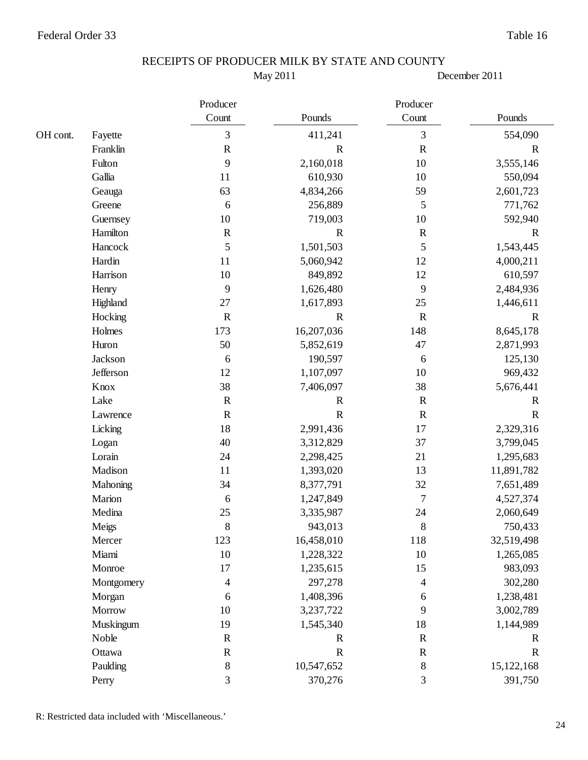May 2011

|          |            | Producer    |             | Producer    |             |
|----------|------------|-------------|-------------|-------------|-------------|
|          |            | Count       | Pounds      | Count       | Pounds      |
| OH cont. | Fayette    | 3           | 411,241     | 3           | 554,090     |
|          | Franklin   | ${\bf R}$   | $\mathbf R$ | ${\bf R}$   | $\mathbf R$ |
|          | Fulton     | 9           | 2,160,018   | 10          | 3,555,146   |
|          | Gallia     | 11          | 610,930     | 10          | 550,094     |
|          | Geauga     | 63          | 4,834,266   | 59          | 2,601,723   |
|          | Greene     | 6           | 256,889     | 5           | 771,762     |
|          | Guernsey   | $10\,$      | 719,003     | 10          | 592,940     |
|          | Hamilton   | $\mathbf R$ | $\mathbf R$ | $\mathbf R$ | $\mathbf R$ |
|          | Hancock    | 5           | 1,501,503   | 5           | 1,543,445   |
|          | Hardin     | 11          | 5,060,942   | 12          | 4,000,211   |
|          | Harrison   | $10\,$      | 849,892     | 12          | 610,597     |
|          | Henry      | 9           | 1,626,480   | 9           | 2,484,936   |
|          | Highland   | 27          | 1,617,893   | 25          | 1,446,611   |
|          | Hocking    | $\mathbf R$ | $\mathbf R$ | $\mathbf R$ | $\mathbf R$ |
|          | Holmes     | 173         | 16,207,036  | 148         | 8,645,178   |
|          | Huron      | 50          | 5,852,619   | 47          | 2,871,993   |
|          | Jackson    | 6           | 190,597     | 6           | 125,130     |
|          | Jefferson  | 12          | 1,107,097   | 10          | 969,432     |
|          | Knox       | 38          | 7,406,097   | 38          | 5,676,441   |
|          | Lake       | ${\bf R}$   | $\mathbf R$ | $\mathbf R$ | $\mathbf R$ |
|          | Lawrence   | $\mathbf R$ | $\mathbf R$ | $\mathbf R$ | $\mathbf R$ |
|          | Licking    | 18          | 2,991,436   | 17          | 2,329,316   |
|          | Logan      | 40          | 3,312,829   | 37          | 3,799,045   |
|          | Lorain     | 24          | 2,298,425   | 21          | 1,295,683   |
|          | Madison    | 11          | 1,393,020   | 13          | 11,891,782  |
|          | Mahoning   | 34          | 8,377,791   | 32          | 7,651,489   |
|          | Marion     | 6           | 1,247,849   | $\tau$      | 4,527,374   |
|          | Medina     | 25          | 3,335,987   | 24          | 2,060,649   |
|          | Meigs      | 8           | 943,013     | 8           | 750,433     |
|          | Mercer     | 123         | 16,458,010  | 118         | 32,519,498  |
|          | Miami      | $10\,$      | 1,228,322   | 10          | 1,265,085   |
|          | Monroe     | 17          | 1,235,615   | 15          | 983,093     |
|          | Montgomery | 4           | 297,278     | 4           | 302,280     |
|          | Morgan     | 6           | 1,408,396   | 6           | 1,238,481   |
|          | Morrow     | $10\,$      | 3,237,722   | 9           | 3,002,789   |
|          | Muskingum  | 19          | 1,545,340   | 18          | 1,144,989   |
|          | Noble      | ${\bf R}$   | ${\bf R}$   | ${\bf R}$   | $\mathbf R$ |
|          | Ottawa     | ${\bf R}$   | $\mathbf R$ | ${\bf R}$   | $\mathbf R$ |
|          | Paulding   | $\,$ 8 $\,$ | 10,547,652  | $\, 8$      | 15,122,168  |
|          | Perry      | 3           | 370,276     | 3           | 391,750     |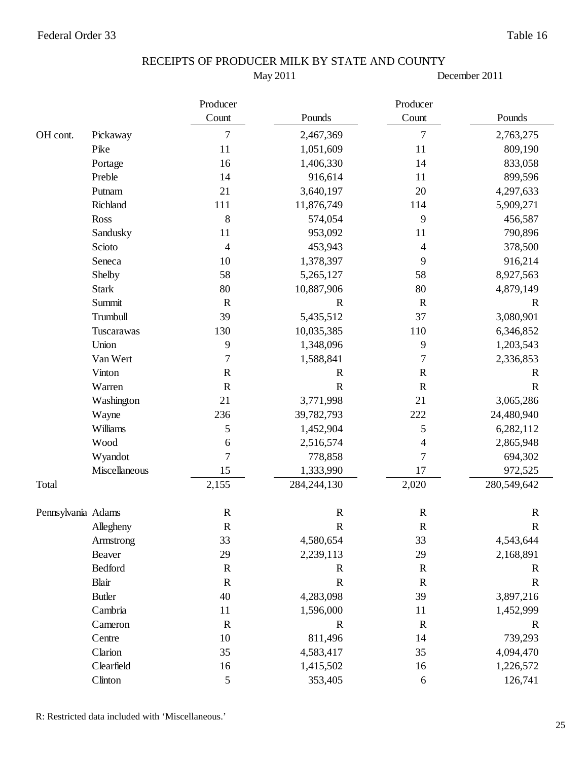May 2011

December 2011

|                    |               | Producer                 | Producer      |                          |              |
|--------------------|---------------|--------------------------|---------------|--------------------------|--------------|
|                    |               | Count                    | Pounds        | Count                    | Pounds       |
| OH cont.           | Pickaway      | 7                        | 2,467,369     | $\tau$                   | 2,763,275    |
|                    | Pike          | 11                       | 1,051,609     | 11                       | 809,190      |
|                    | Portage       | 16                       | 1,406,330     | 14                       | 833,058      |
|                    | Preble        | 14                       | 916,614       | 11                       | 899,596      |
|                    | Putnam        | 21                       | 3,640,197     | 20                       | 4,297,633    |
|                    | Richland      | 111                      | 11,876,749    | 114                      | 5,909,271    |
|                    | Ross          | $\,8\,$                  | 574,054       | 9                        | 456,587      |
|                    | Sandusky      | 11                       | 953,092       | 11                       | 790,896      |
|                    | Scioto        | $\overline{\mathcal{L}}$ | 453,943       | 4                        | 378,500      |
|                    | Seneca        | 10                       | 1,378,397     | 9                        | 916,214      |
|                    | Shelby        | 58                       | 5,265,127     | 58                       | 8,927,563    |
|                    | <b>Stark</b>  | 80                       | 10,887,906    | 80                       | 4,879,149    |
|                    | Summit        | $\mathbf R$              | $\mathbf R$   | $\mathbf R$              | $\mathbf R$  |
|                    | Trumbull      | 39                       | 5,435,512     | 37                       | 3,080,901    |
|                    | Tuscarawas    | 130                      | 10,035,385    | 110                      | 6,346,852    |
|                    | Union         | 9                        | 1,348,096     | 9                        | 1,203,543    |
|                    | Van Wert      | $\overline{7}$           | 1,588,841     | $\overline{7}$           | 2,336,853    |
|                    | Vinton        | ${\bf R}$                | $\mathbb{R}$  | $\mathbf R$              | $\mathbf R$  |
|                    | Warren        | $\mathbf R$              | $\mathbb{R}$  | $\mathbf R$              | $\mathbf R$  |
|                    | Washington    | 21                       | 3,771,998     | 21                       | 3,065,286    |
|                    | Wayne         | 236                      | 39,782,793    | 222                      | 24,480,940   |
|                    | Williams      | 5                        | 1,452,904     | 5                        | 6,282,112    |
|                    | Wood          | $\sqrt{6}$               | 2,516,574     | $\overline{\mathcal{A}}$ | 2,865,948    |
|                    | Wyandot       | $\overline{7}$           | 778,858       | $\overline{7}$           | 694,302      |
|                    | Miscellaneous | 15                       | 1,333,990     | 17                       | 972,525      |
| Total              |               | 2,155                    | 284, 244, 130 | 2,020                    | 280,549,642  |
| Pennsylvania Adams |               | $\mathbf R$              | $\mathbf R$   | $\mathbf R$              | $\mathbf R$  |
|                    | Allegheny     | $\mathbf R$              | $\mathbf R$   | R                        | $\mathbf R$  |
|                    | Armstrong     | 33                       | 4,580,654     | 33                       | 4,543,644    |
|                    | Beaver        | 29                       | 2,239,113     | 29                       | 2,168,891    |
|                    | Bedford       | $\mathbf R$              | $\mathbb{R}$  | $\mathbf R$              | $\mathbb{R}$ |
|                    | Blair         | $\mathbf R$              | $\mathbb{R}$  | $\mathbf R$              | $\mathbf R$  |
|                    | <b>Butler</b> | 40                       | 4,283,098     | 39                       | 3,897,216    |
|                    | Cambria       | $11\,$                   | 1,596,000     | 11                       | 1,452,999    |
|                    | Cameron       | $\mathbf R$              | $\mathbf R$   | $\mathbf R$              | $\mathbf R$  |
|                    | Centre        | 10                       | 811,496       | 14                       | 739,293      |
|                    | Clarion       | 35                       | 4,583,417     | 35                       | 4,094,470    |
|                    | Clearfield    | 16                       | 1,415,502     | 16                       | 1,226,572    |
|                    | Clinton       | $\sqrt{5}$               | 353,405       | $\sqrt{6}$               | 126,741      |

R: Restricted data included with 'Miscellaneous.'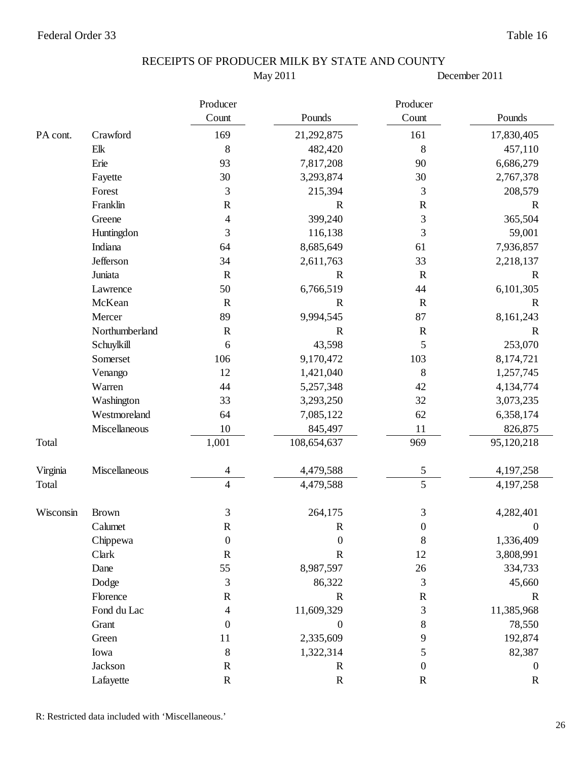May 2011

December 2011

|           |                | Producer                 |                  | Producer         |                  |
|-----------|----------------|--------------------------|------------------|------------------|------------------|
|           |                | Count                    | Pounds           | Count            | Pounds           |
| PA cont.  | Crawford       | 169                      | 21,292,875       | 161              | 17,830,405       |
|           | Elk            | $\,8\,$                  | 482,420          | $\,8\,$          | 457,110          |
|           | Erie           | 93                       | 7,817,208        | 90               | 6,686,279        |
|           | Fayette        | 30                       | 3,293,874        | 30               | 2,767,378        |
|           | Forest         | 3                        | 215,394          | 3                | 208,579          |
|           | Franklin       | ${\bf R}$                | $\mathbf R$      | $\mathbf R$      | $\mathbf R$      |
|           | Greene         | $\overline{\mathcal{A}}$ | 399,240          | 3                | 365,504          |
|           | Huntingdon     | 3                        | 116,138          | 3                | 59,001           |
|           | Indiana        | 64                       | 8,685,649        | 61               | 7,936,857        |
|           | Jefferson      | 34                       | 2,611,763        | 33               | 2,218,137        |
|           | Juniata        | ${\bf R}$                | $\mathbf R$      | $\mathbf R$      | $\mathbb{R}$     |
|           | Lawrence       | 50                       | 6,766,519        | 44               | 6,101,305        |
|           | McKean         | $\mathbf R$              | $\mathbf R$      | $\mathbf R$      | $\mathbb{R}$     |
|           | Mercer         | 89                       | 9,994,545        | 87               | 8,161,243        |
|           | Northumberland | ${\bf R}$                | $\mathbf R$      | ${\bf R}$        | $\mathbf R$      |
|           | Schuylkill     | 6                        | 43,598           | 5                | 253,070          |
|           | Somerset       | 106                      | 9,170,472        | 103              | 8,174,721        |
|           | Venango        | 12                       | 1,421,040        | $\,8\,$          | 1,257,745        |
|           | Warren         | 44                       | 5,257,348        | 42               | 4,134,774        |
|           | Washington     | 33                       | 3,293,250        | 32               | 3,073,235        |
|           | Westmoreland   | 64                       | 7,085,122        | 62               | 6,358,174        |
|           | Miscellaneous  | 10                       | 845,497          | 11               | 826,875          |
| Total     |                | 1,001                    | 108,654,637      | 969              | 95,120,218       |
| Virginia  | Miscellaneous  | 4                        | 4,479,588        | 5                | 4,197,258        |
| Total     |                | $\overline{4}$           | 4,479,588        | $\overline{5}$   | 4,197,258        |
| Wisconsin | <b>Brown</b>   | 3                        | 264,175          | 3                | 4,282,401        |
|           | Calumet        | $\mathsf{R}$             | $\mathbf R$      | $\boldsymbol{0}$ | $\Omega$         |
|           | Chippewa       | $\boldsymbol{0}$         | $\boldsymbol{0}$ | $\,$ 8 $\,$      | 1,336,409        |
|           | Clark          | ${\bf R}$                | ${\bf R}$        | $12\,$           | 3,808,991        |
|           | Dane           | 55                       | 8,987,597        | 26               | 334,733          |
|           | Dodge          | 3                        | 86,322           | $\mathfrak{Z}$   | 45,660           |
|           | Florence       | ${\bf R}$                | ${\bf R}$        | ${\bf R}$        | $\mathbf R$      |
|           | Fond du Lac    | $\overline{\mathcal{A}}$ | 11,609,329       | $\mathfrak{Z}$   | 11,385,968       |
|           | Grant          | $\boldsymbol{0}$         | $\boldsymbol{0}$ | 8                | 78,550           |
|           | Green          | 11                       | 2,335,609        | 9                | 192,874          |
|           | Iowa           | $\,8\,$                  | 1,322,314        | 5                | 82,387           |
|           | Jackson        | $\mathbf R$              | $\mathbf R$      | $\boldsymbol{0}$ | $\boldsymbol{0}$ |
|           | Lafayette      | $\mathbf R$              | $\mathbf R$      | $\mathbf R$      | $\mathbf R$      |

R: Restricted data included with 'Miscellaneous.'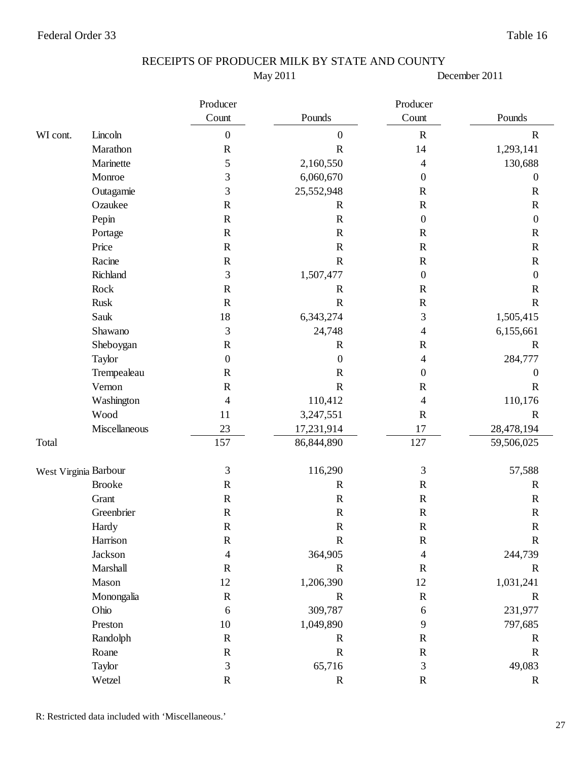May 2011

December 2011

|          |                       | Producer                 |                  | Producer         |                  |
|----------|-----------------------|--------------------------|------------------|------------------|------------------|
|          |                       | Count                    | Pounds           | Count            | Pounds           |
| WI cont. | Lincoln               | $\boldsymbol{0}$         | $\boldsymbol{0}$ | $\mathbf R$      | $\mathbf R$      |
|          | Marathon              | ${\bf R}$                | $\mathbf R$      | 14               | 1,293,141        |
|          | Marinette             | 5                        | 2,160,550        | 4                | 130,688          |
|          | Monroe                | 3                        | 6,060,670        | 0                | $\boldsymbol{0}$ |
|          | Outagamie             | 3                        | 25,552,948       | $\mathbf R$      | $\mathbf R$      |
|          | Ozaukee               | ${\bf R}$                | $\mathbf R$      | ${\bf R}$        | $\mathbf R$      |
|          | Pepin                 | ${\bf R}$                | $\mathbf R$      | $\boldsymbol{0}$ | $\boldsymbol{0}$ |
|          | Portage               | ${\bf R}$                | $\mathbf R$      | $\mathbf R$      | $\mathbf R$      |
|          | Price                 | ${\bf R}$                | ${\bf R}$        | ${\bf R}$        | ${\bf R}$        |
|          | Racine                | $\mathbf R$              | $\mathbf R$      | $\mathbf R$      | $\mathbf R$      |
|          | Richland              | 3                        | 1,507,477        | $\boldsymbol{0}$ | $\boldsymbol{0}$ |
|          | Rock                  | $\mathbb{R}$             | $\mathbf R$      | $\mathbf R$      | $\mathbf R$      |
|          | <b>Rusk</b>           | ${\bf R}$                | $\mathbf R$      | $\mathbf R$      | $\mathbf R$      |
|          | Sauk                  | 18                       | 6,343,274        | 3                | 1,505,415        |
|          | Shawano               | $\mathfrak{Z}$           | 24,748           | 4                | 6,155,661        |
|          | Sheboygan             | ${\bf R}$                | $\mathbf R$      | $\mathbf R$      | $\mathbf R$      |
|          | Taylor                | $\boldsymbol{0}$         | $\boldsymbol{0}$ | 4                | 284,777          |
|          | Trempealeau           | $\mathbf R$              | $\mathbf R$      | $\boldsymbol{0}$ | $\boldsymbol{0}$ |
|          | Vernon                | $\mathbb{R}$             | $\mathbf R$      | $\mathbf R$      | $\mathbf R$      |
|          | Washington            | 4                        | 110,412          | $\overline{4}$   | 110,176          |
|          | Wood                  | 11                       | 3,247,551        | $\mathbf R$      | $\mathbf R$      |
|          | Miscellaneous         | 23                       | 17,231,914       | 17               | 28,478,194       |
| Total    |                       | 157                      | 86,844,890       | 127              | 59,506,025       |
|          | West Virginia Barbour | 3                        | 116,290          | 3                | 57,588           |
|          | <b>Brooke</b>         | $\mathbb{R}$             | $\mathbf R$      | $\mathbf R$      | $\mathbb{R}$     |
|          | Grant                 | $\mathbf R$              | $\mathbf R$      | $\mathbf R$      | $\mathbf R$      |
|          | Greenbrier            | ${\bf R}$                | ${\bf R}$        | ${\bf R}$        | $\mathbf R$      |
|          | Hardy                 | $\mathbf R$              | $\mathbf R$      | $\mathbb{R}$     | $\mathsf{R}$     |
|          | Harrison              | $\mathbf R$              | $\mathbf R$      | $\mathbf R$      | $\mathbf R$      |
|          | Jackson               | $\overline{\mathcal{A}}$ | 364,905          | 4                | 244,739          |
|          | Marshall              | $\mathbf R$              | $\mathbf R$      | $\mathbf R$      | $\mathbf R$      |
|          | Mason                 | 12                       | 1,206,390        | 12               | 1,031,241        |
|          | Monongalia            | ${\bf R}$                | $\mathbf R$      | $\mathbf R$      | $\mathbf R$      |
|          | Ohio                  | $\sqrt{6}$               | 309,787          | 6                | 231,977          |
|          | Preston               | 10                       | 1,049,890        | 9                | 797,685          |
|          | Randolph              | ${\bf R}$                | $\mathbf R$      | ${\bf R}$        | $\mathbf R$      |
|          | Roane                 | ${\bf R}$                | ${\bf R}$        | ${\bf R}$        | $\mathbf R$      |
|          | Taylor                | $\mathfrak{Z}$           | 65,716           | 3                | 49,083           |
|          | Wetzel                | $\mathbf R$              | ${\bf R}$        | $\mathbf R$      | $\mathbf R$      |

R: Restricted data included with 'Miscellaneous.'